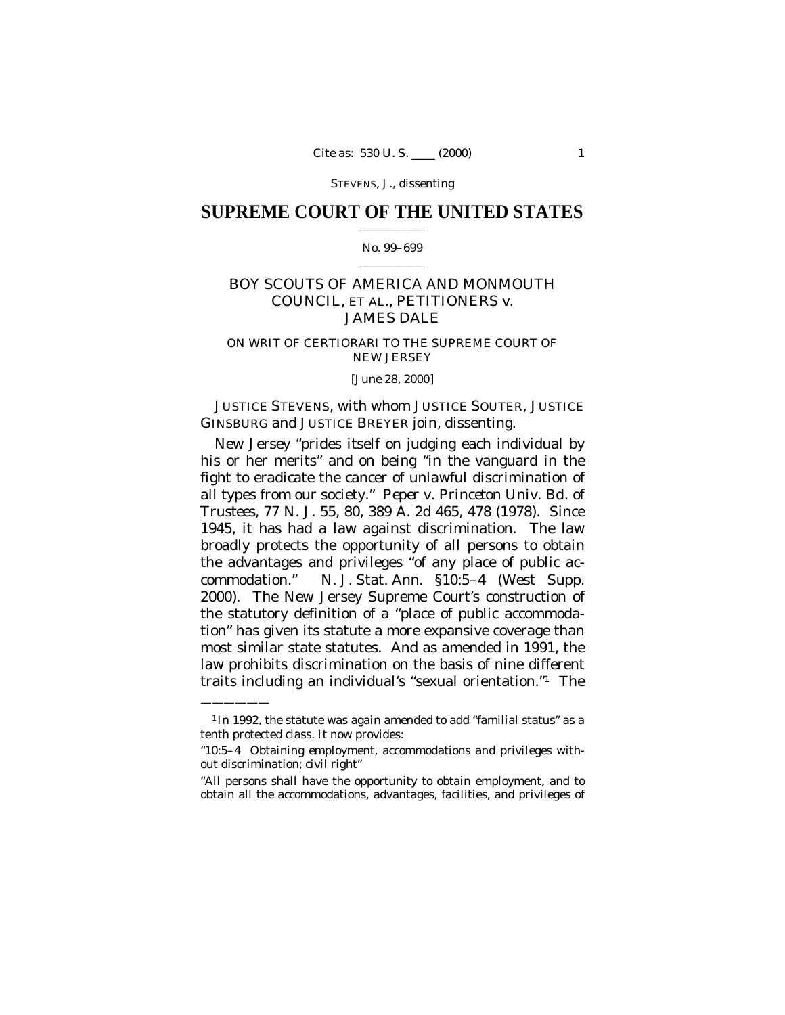## **SUPREME COURT OF THE UNITED STATES**  $\mathcal{L}=\mathcal{L}^{\mathcal{L}}$  , where  $\mathcal{L}^{\mathcal{L}}$

### No. 99–699  $\mathcal{L}=\mathcal{L}^{\mathcal{L}}$  , where  $\mathcal{L}^{\mathcal{L}}$

# BOY SCOUTS OF AMERICA AND MONMOUTH COUNCIL, ET AL., PETITIONERS *v.* JAMES DALE

## ON WRIT OF CERTIORARI TO THE SUPREME COURT OF NEW JERSEY

## [June 28, 2000]

JUSTICE STEVENS, with whom JUSTICE SOUTER, JUSTICE GINSBURG and JUSTICE BREYER join, dissenting.

New Jersey "prides itself on judging each individual by his or her merits" and on being "in the vanguard in the fight to eradicate the cancer of unlawful discrimination of all types from our society." *Peper* v. *Princeton Univ. Bd. of Trustees,* 77 N. J. 55, 80, 389 A. 2d 465, 478 (1978). Since 1945, it has had a law against discrimination. The law broadly protects the opportunity of all persons to obtain the advantages and privileges "of any place of public accommodation." N. J. Stat. Ann. §10:5–4 (West Supp. 2000). The New Jersey Supreme Court's construction of the statutory definition of a "place of public accommodation" has given its statute a more expansive coverage than most similar state statutes. And as amended in 1991, the law prohibits discrimination on the basis of nine different traits including an individual's "sexual orientation."<sup>1</sup> The

 $\mathcal{L}=\mathcal{L}^{\text{max}}$ 

<sup>&</sup>lt;sup>1</sup>In 1992, the statute was again amended to add "familial status" as a tenth protected class. It now provides:

<sup>&</sup>quot;10:5–4 Obtaining employment, accommodations and privileges without discrimination; civil right"

<sup>&</sup>quot;All persons shall have the opportunity to obtain employment, and to obtain all the accommodations, advantages, facilities, and privileges of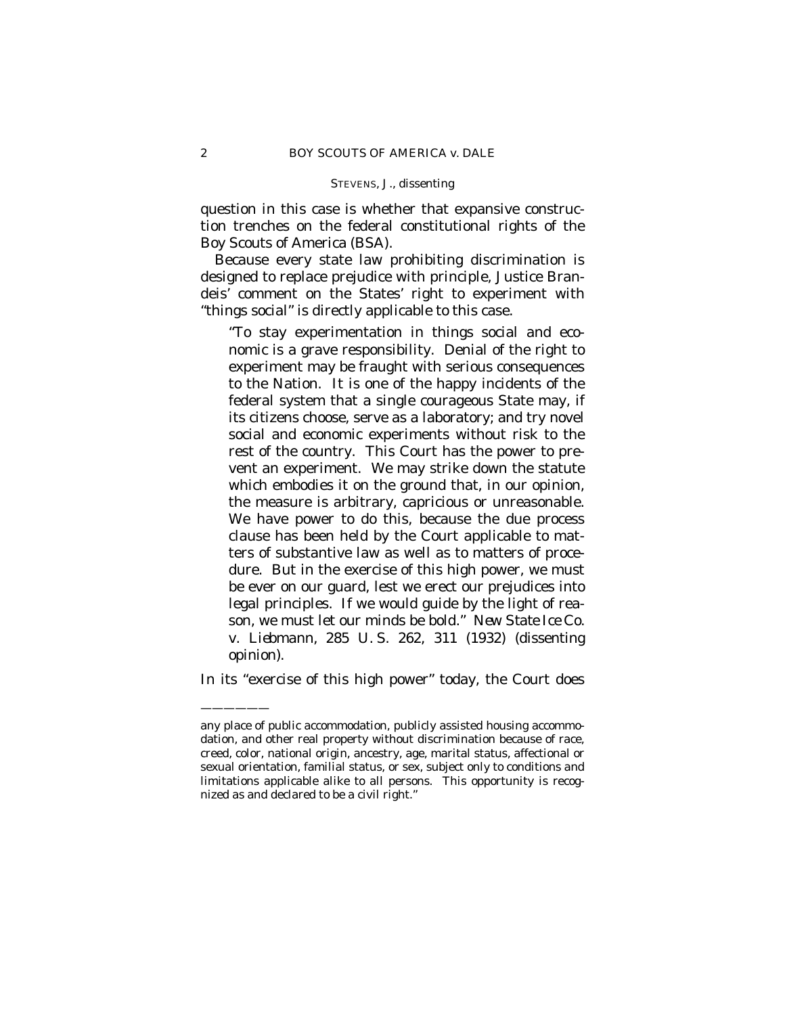question in this case is whether that expansive construction trenches on the federal constitutional rights of the Boy Scouts of America (BSA).

Because every state law prohibiting discrimination is designed to replace prejudice with principle, Justice Brandeis' comment on the States' right to experiment with "things social" is directly applicable to this case.

"To stay experimentation in things social and economic is a grave responsibility. Denial of the right to experiment may be fraught with serious consequences to the Nation. It is one of the happy incidents of the federal system that a single courageous State may, if its citizens choose, serve as a laboratory; and try novel social and economic experiments without risk to the rest of the country. This Court has the power to prevent an experiment. We may strike down the statute which embodies it on the ground that, in our opinion, the measure is arbitrary, capricious or unreasonable. We have power to do this, because the due process clause has been held by the Court applicable to matters of substantive law as well as to matters of procedure. But in the exercise of this high power, we must be ever on our guard, lest we erect our prejudices into legal principles. If we would guide by the light of reason, we must let our minds be bold." *New State Ice Co.* v. *Liebmann,* 285 U. S. 262, 311 (1932) (dissenting opinion).

In its "exercise of this high power" today, the Court does

any place of public accommodation, publicly assisted housing accommodation, and other real property without discrimination because of race, creed, color, national origin, ancestry, age, marital status, affectional or sexual orientation, familial status, or sex, subject only to conditions and limitations applicable alike to all persons. This opportunity is recognized as and declared to be a civil right."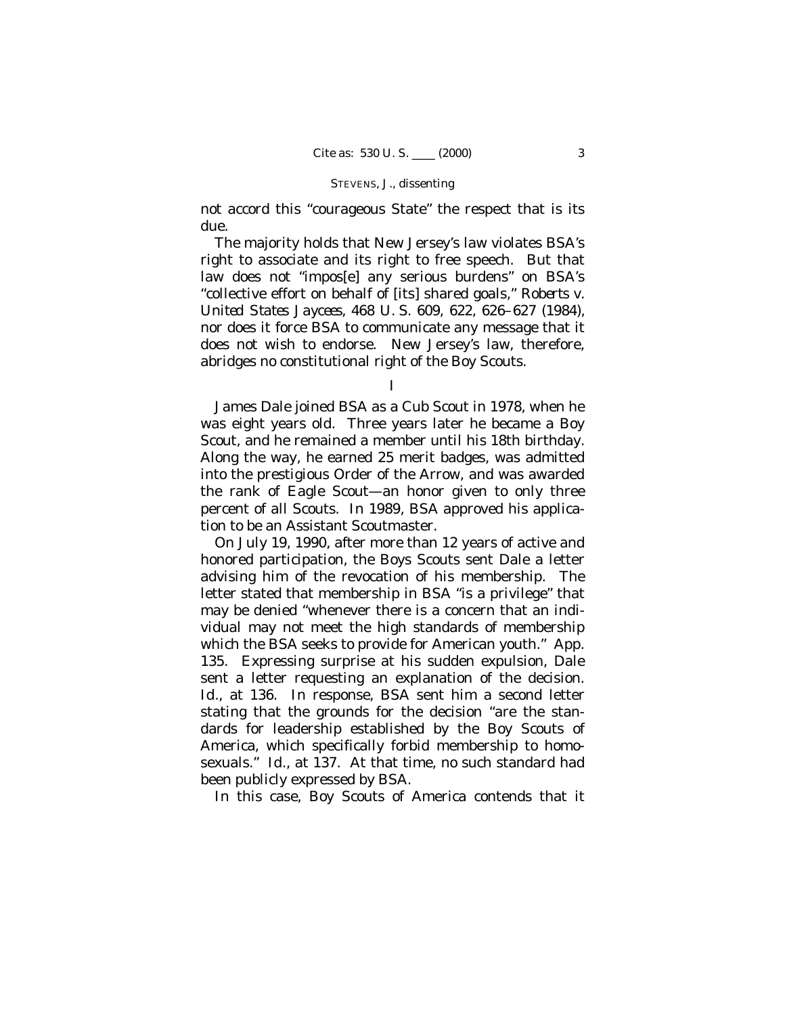not accord this "courageous State" the respect that is its due.

The majority holds that New Jersey's law violates BSA's right to associate and its right to free speech. But that law does not "impos[e] any serious burdens" on BSA's "collective effort on behalf of [its] shared goals," *Roberts* v. *United States Jaycees,* 468 U. S. 609, 622, 626–627 (1984), nor does it force BSA to communicate any message that it does not wish to endorse. New Jersey's law, therefore, abridges no constitutional right of the Boy Scouts.

I

James Dale joined BSA as a Cub Scout in 1978, when he was eight years old. Three years later he became a Boy Scout, and he remained a member until his 18th birthday. Along the way, he earned 25 merit badges, was admitted into the prestigious Order of the Arrow, and was awarded the rank of Eagle Scout— an honor given to only three percent of all Scouts. In 1989, BSA approved his application to be an Assistant Scoutmaster.

On July 19, 1990, after more than 12 years of active and honored participation, the Boys Scouts sent Dale a letter advising him of the revocation of his membership. The letter stated that membership in BSA "is a privilege" that may be denied "whenever there is a concern that an individual may not meet the high standards of membership which the BSA seeks to provide for American youth." App. 135. Expressing surprise at his sudden expulsion, Dale sent a letter requesting an explanation of the decision. *Id.,* at 136. In response, BSA sent him a second letter stating that the grounds for the decision "are the standards for leadership established by the Boy Scouts of America, which specifically forbid membership to homosexuals." *Id.,* at 137. At that time, no such standard had been publicly expressed by BSA.

In this case, Boy Scouts of America contends that it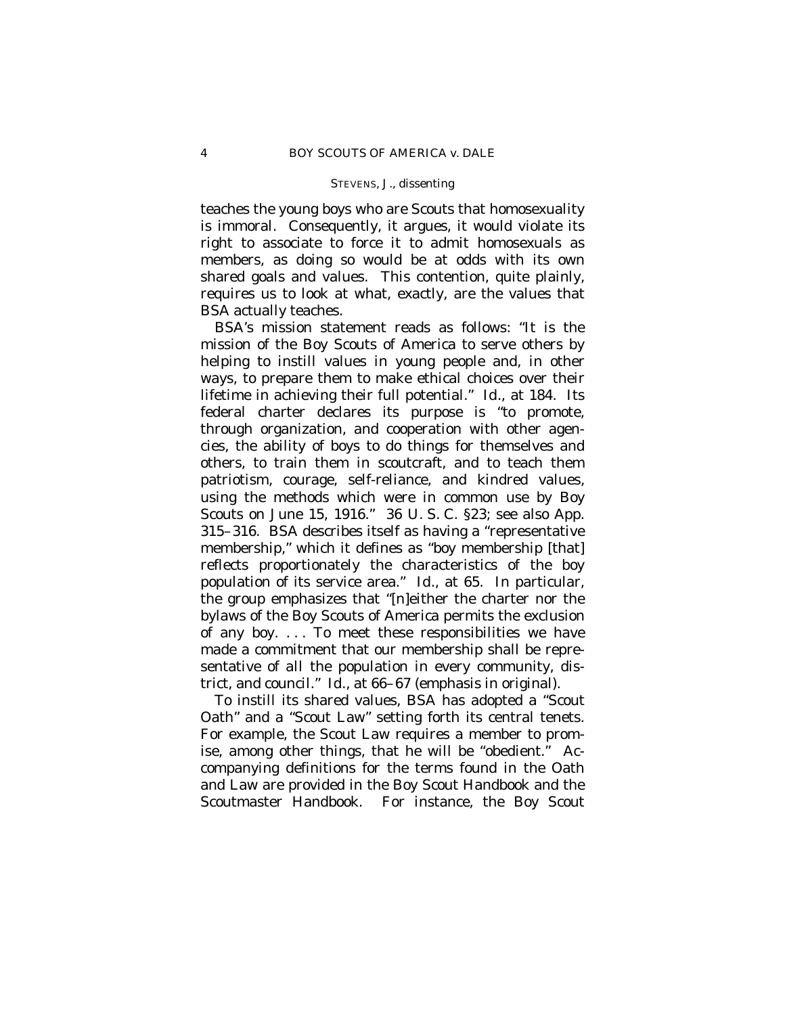teaches the young boys who are Scouts that homosexuality is immoral. Consequently, it argues, it would violate its right to associate to force it to admit homosexuals as members, as doing so would be at odds with its own shared goals and values. This contention, quite plainly, requires us to look at what, exactly, are the values that BSA actually teaches.

BSA's mission statement reads as follows: "It is the mission of the Boy Scouts of America to serve others by helping to instill values in young people and, in other ways, to prepare them to make ethical choices over their lifetime in achieving their full potential." *Id.,* at 184. Its federal charter declares its purpose is "to promote, through organization, and cooperation with other agencies, the ability of boys to do things for themselves and others, to train them in scoutcraft, and to teach them patriotism, courage, self-reliance, and kindred values, using the methods which were in common use by Boy Scouts on June 15, 1916." 36 U. S. C. §23; see also App. 315–316. BSA describes itself as having a "representative membership," which it defines as "boy membership [that] reflects proportionately the characteristics of the boy population of its service area." *Id.,* at 65. In particular, the group emphasizes that "[n]either the charter nor the bylaws of the Boy Scouts of America permits the exclusion of any boy. . . . To meet these responsibilities we have made a commitment that our membership shall be representative of *all* the population in every community, district, and council." *Id.,* at 66–67 (emphasis in original).

To instill its shared values, BSA has adopted a "Scout Oath" and a "Scout Law" setting forth its central tenets. For example, the Scout Law requires a member to promise, among other things, that he will be "obedient." Accompanying definitions for the terms found in the Oath and Law are provided in the Boy Scout Handbook and the Scoutmaster Handbook. For instance, the Boy Scout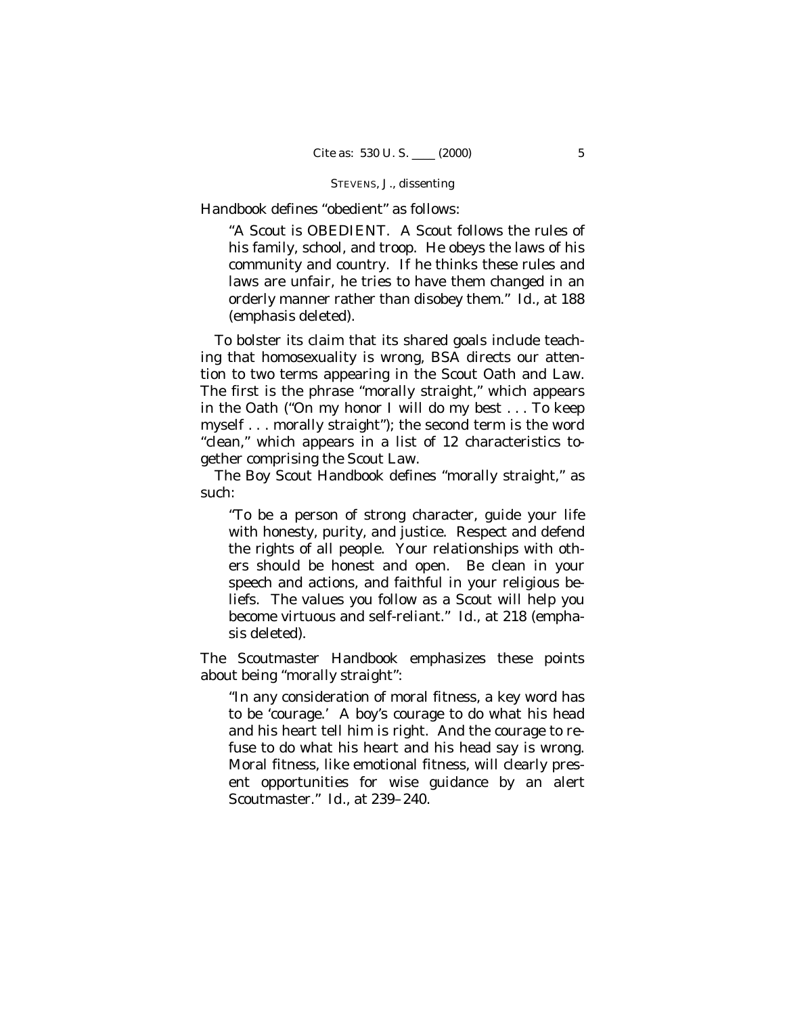Handbook defines "obedient" as follows:

"A Scout is OBEDIENT. A Scout follows the rules of his family, school, and troop. He obeys the laws of his community and country. If he thinks these rules and laws are unfair, he tries to have them changed in an orderly manner rather than disobey them." *Id.,* at 188 (emphasis deleted).

To bolster its claim that its shared goals include teaching that homosexuality is wrong, BSA directs our attention to two terms appearing in the Scout Oath and Law. The first is the phrase "morally straight," which appears in the Oath ("On my honor I will do my best . . . To keep myself . . . morally straight"); the second term is the word "clean," which appears in a list of 12 characteristics together comprising the Scout Law.

The Boy Scout Handbook defines "morally straight," as such:

"To be a person of strong character, guide your life with honesty, purity, and justice. Respect and defend the rights of all people. Your relationships with others should be honest and open. Be clean in your speech and actions, and faithful in your religious beliefs. The values you follow as a Scout will help you become virtuous and self-reliant." *Id.,* at 218 (emphasis deleted).

The Scoutmaster Handbook emphasizes these points about being "morally straight":

"In any consideration of moral fitness, a key word has to be 'courage.' A boy's courage to do what his head and his heart tell him is right*.* And the courage to refuse to do what his heart and his head say is wrong. Moral fitness, like emotional fitness, will clearly present opportunities for wise guidance by an alert Scoutmaster." *Id.,* at 239–240.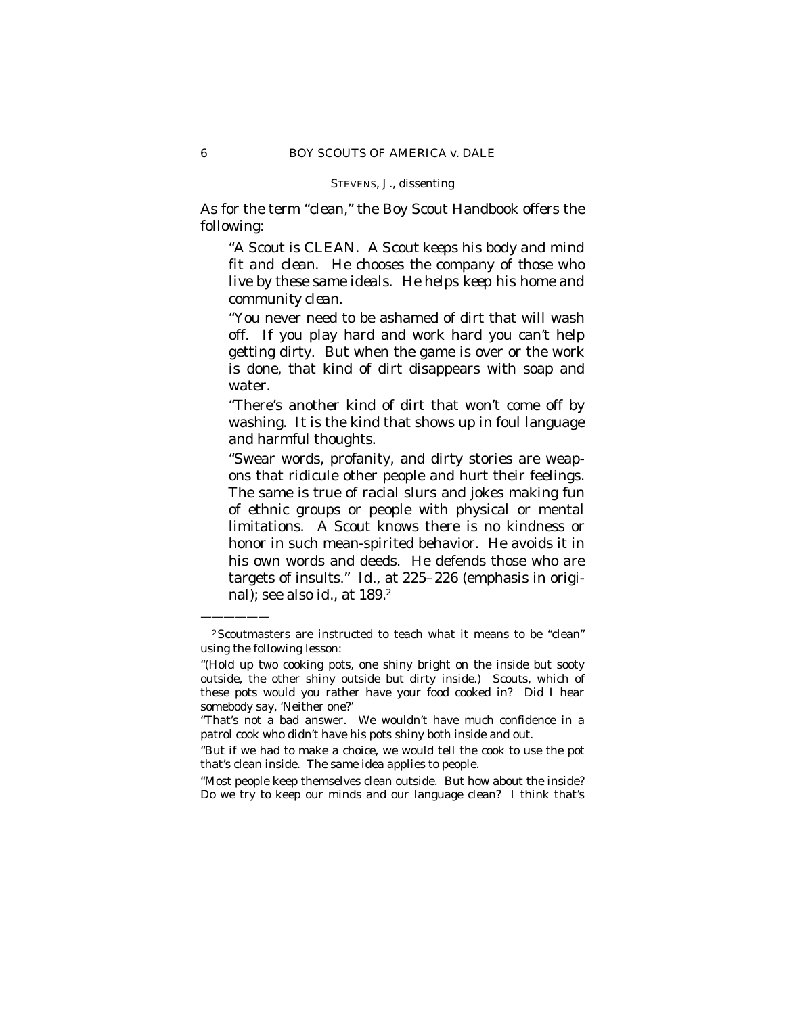As for the term "clean," the Boy Scout Handbook offers the following:

"A Scout is CLEAN. *A Scout keeps his body and mind fit and clean. He chooses the company of those who live by these same ideals. He helps keep his home and community clean.*

"You never need to be ashamed of dirt that will wash off. If you play hard and work hard you can't help getting dirty. But when the game is over or the work is done, that kind of dirt disappears with soap and water.

"There's another kind of dirt that won't come off by washing. It is the kind that shows up in foul language and harmful thoughts.

"Swear words, profanity, and dirty stories are weapons that ridicule other people and hurt their feelings. The same is true of racial slurs and jokes making fun of ethnic groups or people with physical or mental limitations. A Scout knows there is no kindness or honor in such mean-spirited behavior. He avoids it in his own words and deeds. He defends those who are targets of insults." *Id.,* at 225–226 (emphasis in original); see also *id.*, at 189.<sup>2</sup>

using the following lesson:

<sup>——————</sup> <sup>2</sup>Scoutmasters are instructed to teach what it means to be "clean"

<sup>&</sup>quot;(Hold up two cooking pots, one shiny bright on the inside but sooty outside, the other shiny outside but dirty inside.) Scouts, which of these pots would you rather have your food cooked in? Did I hear somebody say, 'Neither one?'

<sup>&</sup>quot;That's not a bad answer. We wouldn't have much confidence in a patrol cook who didn't have his pots shiny both inside and out.

<sup>&</sup>quot;But if we had to make a choice, we would tell the cook to use the pot that's clean inside. The same idea applies to people.

<sup>&</sup>quot;Most people keep themselves clean outside. But how about the inside? Do we try to keep our minds and our language clean? I think that's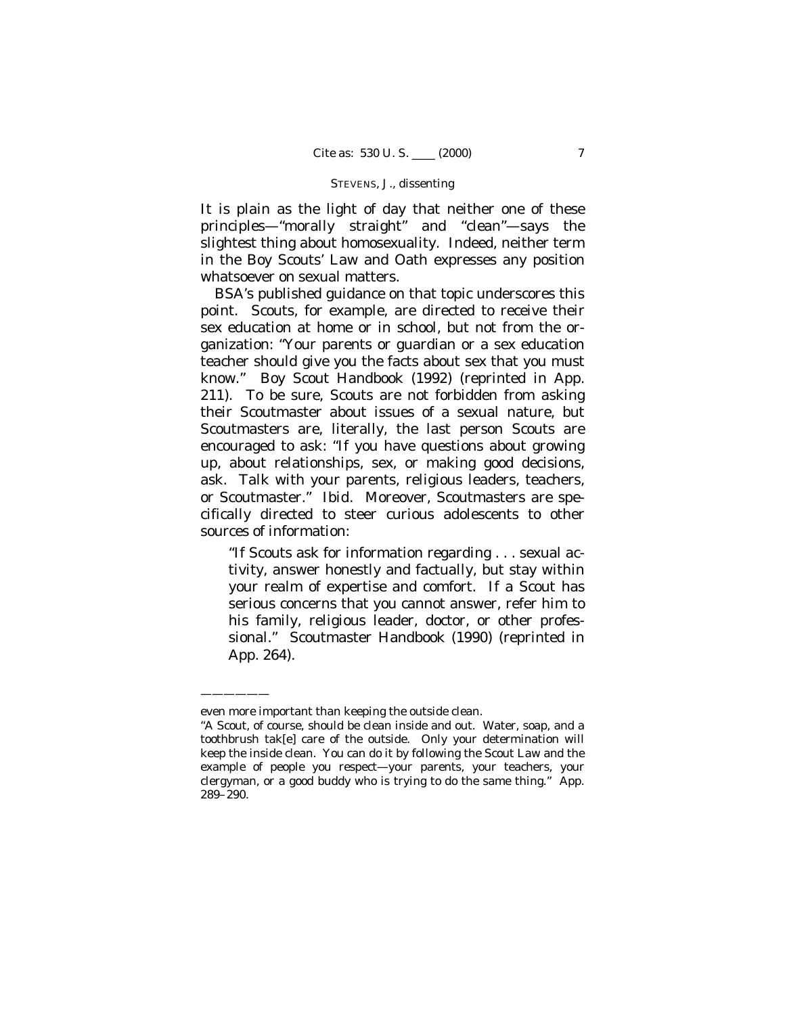It is plain as the light of day that neither one of these principles— "morally straight" and "clean"— says the slightest thing about homosexuality. Indeed, neither term in the Boy Scouts' Law and Oath expresses any position whatsoever on sexual matters.

BSA's published guidance on that topic underscores this point. Scouts, for example, are directed to receive their sex education at home or in school, but not from the organization: "Your parents or guardian or a sex education teacher should give you the facts about sex that you must know." Boy Scout Handbook (1992) (reprinted in App. 211). To be sure, Scouts are not forbidden from asking their Scoutmaster about issues of a sexual nature, but Scoutmasters are, literally, the last person Scouts are encouraged to ask: "If you have questions about growing up, about relationships, sex, or making good decisions, ask. Talk with your parents, religious leaders, teachers, or Scoutmaster." *Ibid.* Moreover, Scoutmasters are specifically directed to steer curious adolescents to other sources of information:

"If Scouts ask for information regarding . . . sexual activity, answer honestly and factually, but stay within your realm of expertise and comfort. If a Scout has serious concerns that you cannot answer, refer him to his family, religious leader, doctor, or other professional." Scoutmaster Handbook (1990) (reprinted in App. 264).

even more important than keeping the outside clean.

<sup>&</sup>quot;A Scout, of course, should be clean inside and out. Water, soap, and a toothbrush tak[e] care of the outside. Only your determination will keep the inside clean. You can do it by following the Scout Law and the example of people you respect— your parents, your teachers, your clergyman, or a good buddy who is trying to do the same thing." App. 289–290.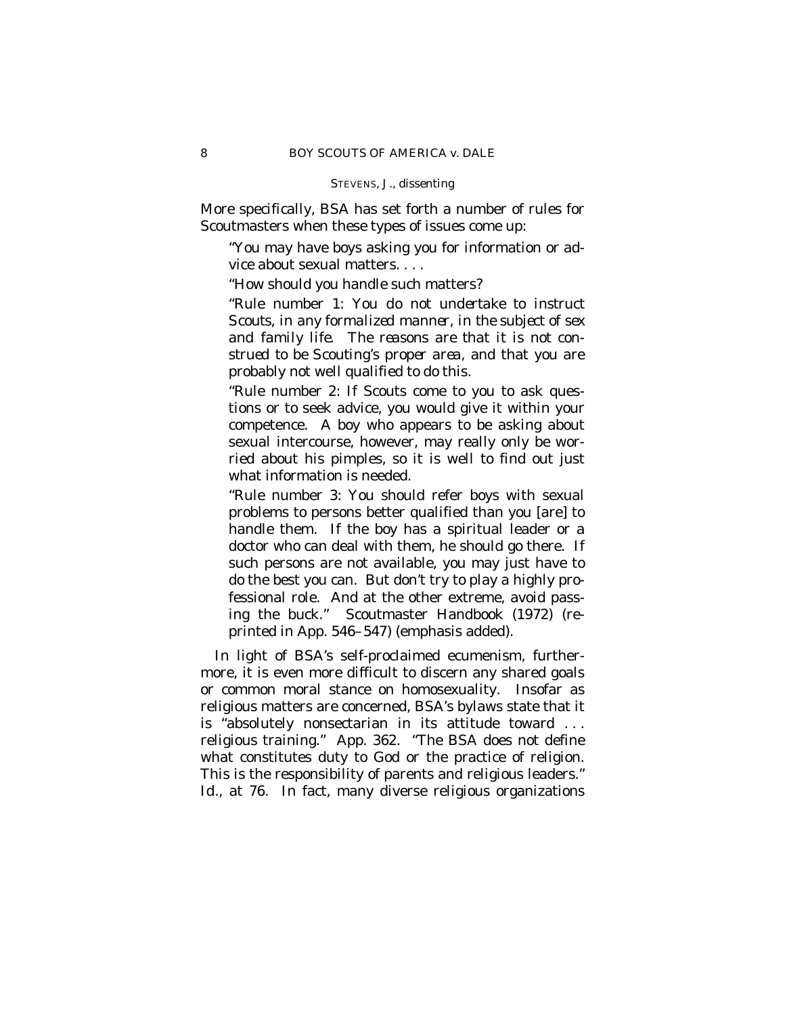More specifically, BSA has set forth a number of rules for Scoutmasters when these types of issues come up:

"You may have boys asking you for information or advice about sexual matters. . . .

"How should you handle such matters?

"Rule number 1: *You do not undertake to instruct Scouts, in any formalized manner, in the subject of sex and family life. The reasons are that it is not construed to be Scouting's proper area*, and that you are probably not well qualified to do this.

"Rule number 2: If Scouts come to you to ask questions or to seek advice, you would give it within your competence. A boy who appears to be asking about sexual intercourse, however, may really only be worried about his pimples, so it is well to find out just what information is needed.

"Rule number 3: You should refer boys with sexual problems to persons better qualified than you [are] to handle them. If the boy has a spiritual leader or a doctor who can deal with them, he should go there. If such persons are not available, you may just have to do the best you can. But don't try to play a highly professional role. And at the other extreme, avoid passing the buck." Scoutmaster Handbook (1972) (reprinted in App. 546–547) (emphasis added).

In light of BSA's self-proclaimed ecumenism, furthermore, it is even more difficult to discern any shared goals or common moral stance on homosexuality. Insofar as religious matters are concerned, BSA's bylaws state that it is "absolutely nonsectarian in its attitude toward . . . religious training." App. 362. "The BSA does not define what constitutes duty to God or the practice of religion. This is the responsibility of parents and religious leaders." *Id.,* at 76. In fact, many diverse religious organizations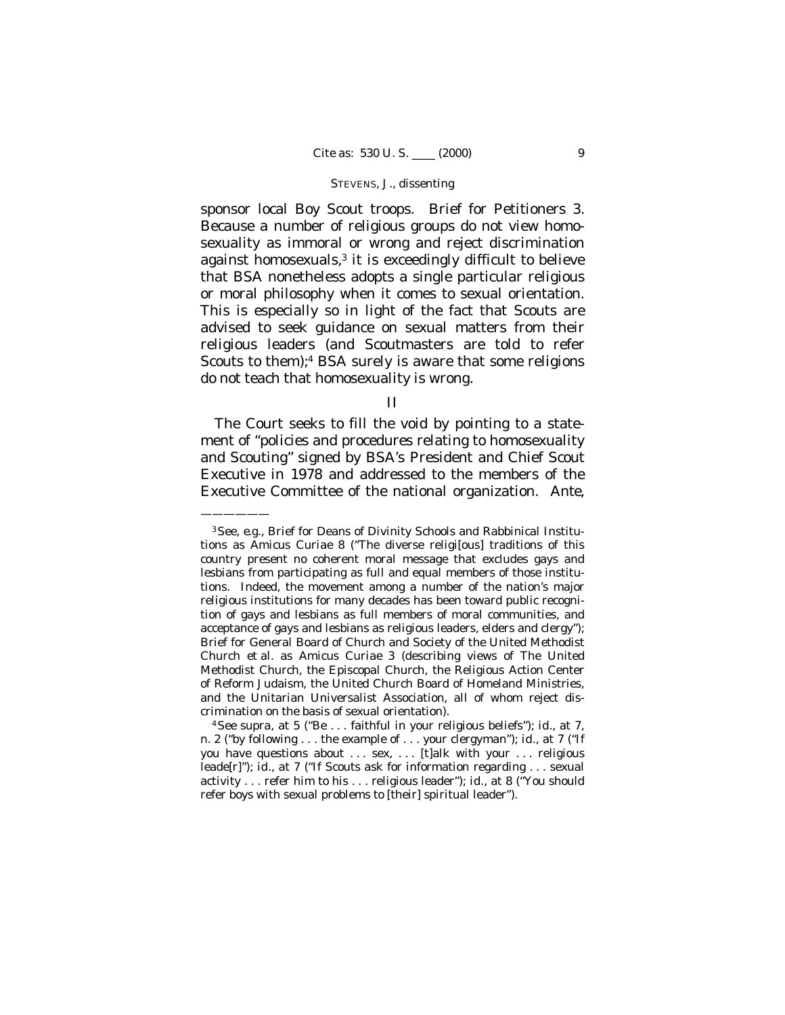sponsor local Boy Scout troops. Brief for Petitioners 3. Because a number of religious groups do not view homosexuality as immoral or wrong and reject discrimination against homosexuals,<sup>3</sup> it is exceedingly difficult to believe that BSA nonetheless adopts a single particular religious or moral philosophy when it comes to sexual orientation. This is especially so in light of the fact that Scouts are advised to seek guidance on sexual matters from their religious leaders (and Scoutmasters are told to refer Scouts to them);<sup>4</sup> BSA surely is aware that some religions do not teach that homosexuality is wrong.

II

The Court seeks to fill the void by pointing to a statement of "policies and procedures relating to homosexuality and Scouting" signed by BSA's President and Chief Scout Executive in 1978 and addressed to the members of the Executive Committee of the national organization. *Ante*,

<sup>3</sup>See, *e.g.*, Brief for Deans of Divinity Schools and Rabbinical Institutions as *Amicus Curiae* 8 ("The diverse religi[ous] traditions of this country present no coherent moral message that excludes gays and lesbians from participating as full and equal members of those institutions. Indeed, the movement among a number of the nation's major religious institutions for many decades has been toward public recognition of gays and lesbians as full members of moral communities, and acceptance of gays and lesbians as religious leaders, elders and clergy"); Brief for General Board of Church and Society of the United Methodist Church et al. as *Amicus Curiae* 3 (describing views of The United Methodist Church, the Episcopal Church, the Religious Action Center of Reform Judaism, the United Church Board of Homeland Ministries, and the Unitarian Universalist Association, all of whom reject discrimination on the basis of sexual orientation).

<sup>4</sup>See *supra*, at 5 ("Be . . . faithful in your religious beliefs"); *id.*, at 7, n. 2 ("by following . . . the example of . . . your clergyman"); *id.*, at 7 ("If you have questions about . . . sex, . . . [t]alk with your . . . religious leade[r]"); *id.*, at 7 ("If Scouts ask for information regarding . . . sexual activity . . . refer him to his . . . religious leader"); *id.*, at 8 ("You should refer boys with sexual problems to [their] spiritual leader").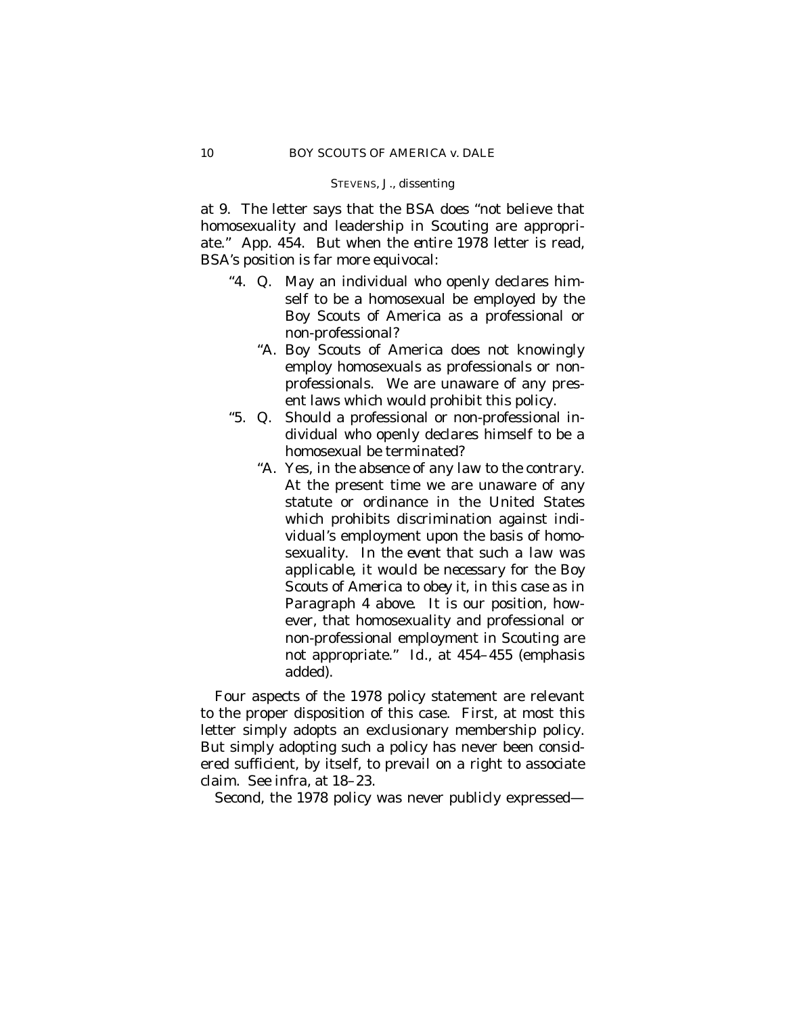at 9. The letter says that the BSA does "not believe that homosexuality and leadership in Scouting are appropriate." App. 454. But when the *entire* 1978 letter is read, BSA's position is far more equivocal:

- "4. Q. May an individual who openly declares himself to be a homosexual be employed by the Boy Scouts of America as a professional or non-professional?
	- "A. Boy Scouts of America does not knowingly employ homosexuals as professionals or nonprofessionals. We are unaware of any present laws which would prohibit this policy.
- "5. Q. Should a professional or non-professional individual who openly declares himself to be a homosexual be terminated?
	- "A. Yes, *in the absence of any law to the contrary.* At the present time we are unaware of any statute or ordinance in the United States which prohibits discrimination against individual's employment upon the basis of homosexuality. *In the event that such a law was applicable, it would be necessary for the Boy Scouts of America to obey it, in this case as in Paragraph 4 above.* It is our position, however, that homosexuality and professional or non-professional employment in Scouting are not appropriate." *Id.,* at 454–455 (emphasis added).

Four aspects of the 1978 policy statement are relevant to the proper disposition of this case. First, at most this letter simply adopts an exclusionary membership policy. But simply adopting such a policy has never been considered sufficient, by itself, to prevail on a right to associate claim. See *infra*, at 18–23.

Second, the 1978 policy was never publicly expressed—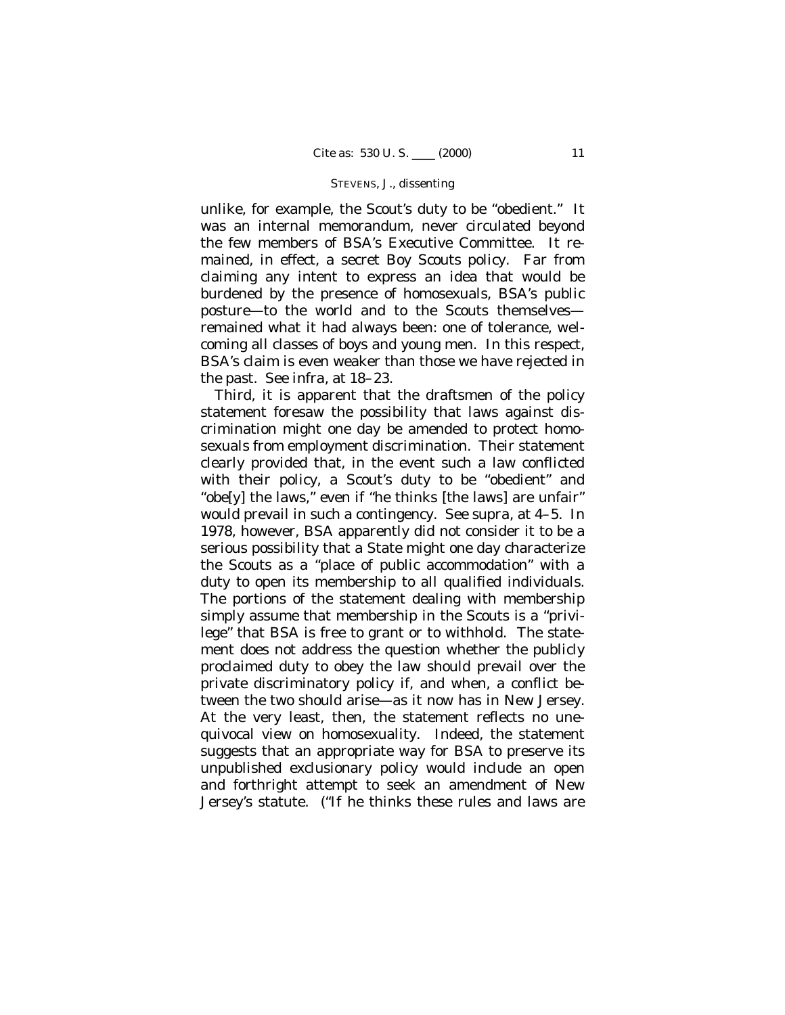unlike, for example, the Scout's duty to be "obedient." It was an internal memorandum, never circulated beyond the few members of BSA's Executive Committee. It remained, in effect, a secret Boy Scouts policy. Far from claiming any intent to express an idea that would be burdened by the presence of homosexuals, BSA's *public* posture— to the world and to the Scouts themselves remained what it had always been: one of tolerance, welcoming all classes of boys and young men. In this respect, BSA's claim is even weaker than those we have rejected in the past. See *infra*, at 18–23.

Third, it is apparent that the draftsmen of the policy statement foresaw the possibility that laws against discrimination might one day be amended to protect homosexuals from employment discrimination. Their statement clearly provided that, in the event such a law conflicted with their policy, a Scout's duty to be "obedient" and "obe[y] the laws," even if "he thinks [the laws] are unfair" would prevail in such a contingency. See *supra,* at 4–5. In 1978, however, BSA apparently did not consider it to be a serious possibility that a State might one day characterize the Scouts as a "place of public accommodation" with a duty to open its membership to all qualified individuals. The portions of the statement dealing with membership simply assume that membership in the Scouts is a "privilege" that BSA is free to grant or to withhold. The statement does not address the question whether the publicly proclaimed duty to obey the law should prevail over the private discriminatory policy if, and when, a conflict between the two should arise— as it now has in New Jersey. At the very least, then, the statement reflects no unequivocal view on homosexuality. Indeed, the statement suggests that an appropriate way for BSA to preserve its unpublished exclusionary policy would include an open and forthright attempt to seek an amendment of New Jersey's statute. ("If he thinks these rules and laws are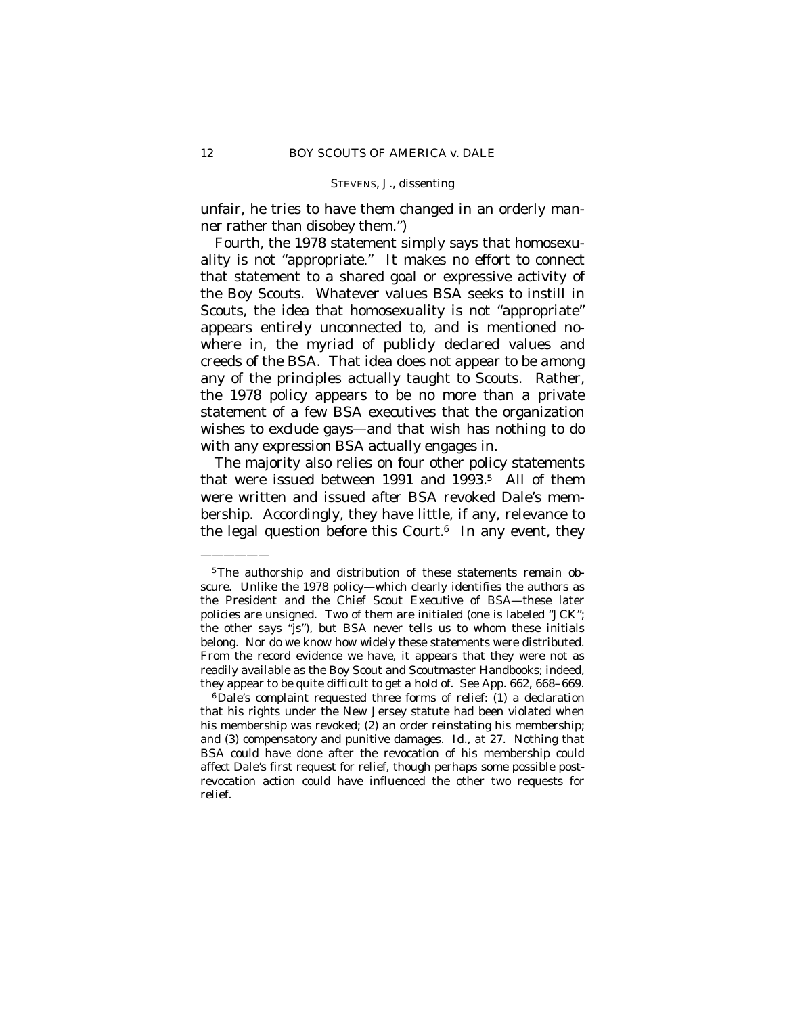unfair, he tries to have them changed in an orderly manner rather than disobey them.")

Fourth, the 1978 statement simply says that homosexuality is not "appropriate." It makes no effort to connect that statement to a shared goal or expressive activity of the Boy Scouts. Whatever values BSA seeks to instill in Scouts, the idea that homosexuality is not "appropriate" appears entirely unconnected to, and is mentioned nowhere in, the myriad of publicly declared values and creeds of the BSA. That idea does not appear to be among any of the principles actually taught to Scouts. Rather, the 1978 policy appears to be no more than a private statement of a few BSA executives that the organization wishes to exclude gays— and that wish has nothing to do with any expression BSA actually engages in.

The majority also relies on four other policy statements that were issued between 1991 and 1993.<sup>5</sup> All of them were written and issued *after* BSA revoked Dale's membership. Accordingly, they have little, if any, relevance to the legal question before this Court.<sup>6</sup> In any event, they

<sup>6</sup>Dale's complaint requested three forms of relief: (1) a declaration that his rights under the New Jersey statute had been violated when his membership was revoked; (2) an order reinstating his membership; and (3) compensatory and punitive damages. *Id.*, at 27. Nothing that BSA could have done after the revocation of his membership could affect Dale's first request for relief, though perhaps some possible postrevocation action could have influenced the other two requests for relief.

<sup>&</sup>lt;sup>5</sup>The authorship and distribution of these statements remain obscure. Unlike the 1978 policy— which clearly identifies the authors as the President and the Chief Scout Executive of BSA— these later policies are unsigned. Two of them are initialed (one is labeled "JCK"; the other says "js"), but BSA never tells us to whom these initials belong. Nor do we know how widely these statements were distributed. From the record evidence we have, it appears that they were not as readily available as the Boy Scout and Scoutmaster Handbooks; indeed, they appear to be quite difficult to get a hold of. See App. 662, 668–669.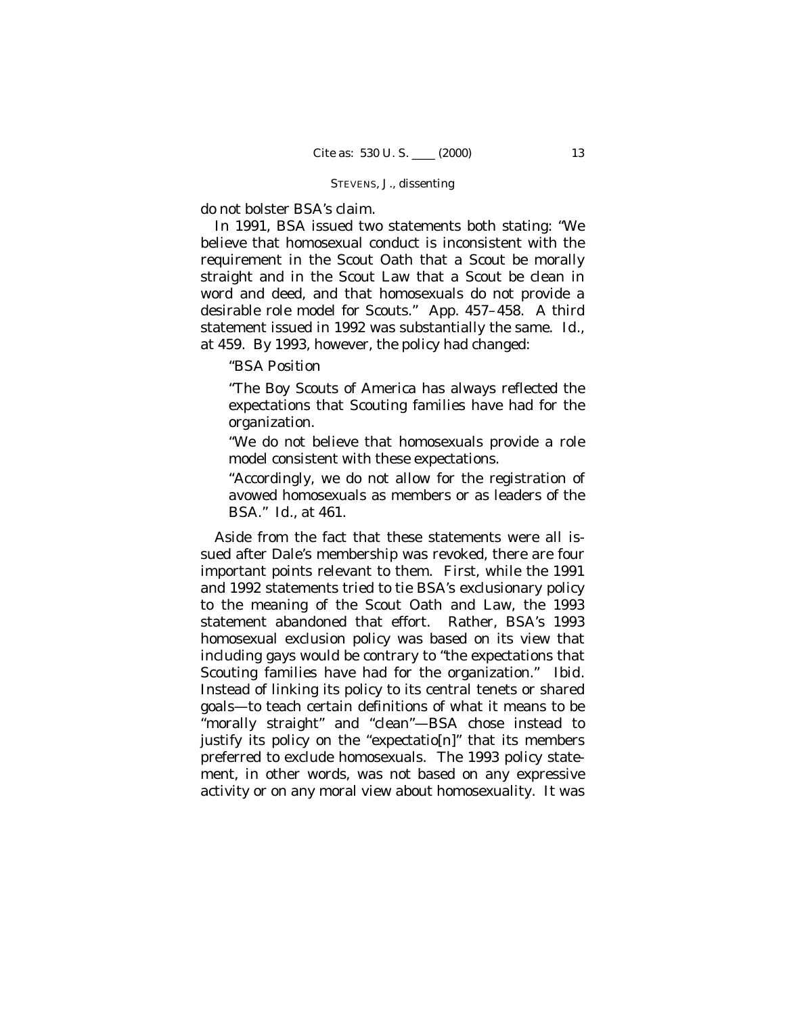do not bolster BSA's claim.

In 1991, BSA issued two statements both stating: "We believe that homosexual conduct is inconsistent with the requirement in the Scout Oath that a Scout be morally straight and in the Scout Law that a Scout be clean in word and deed, and that homosexuals do not provide a desirable role model for Scouts." App. 457–458. A third statement issued in 1992 was substantially the same. *Id.,* at 459. By 1993, however, the policy had changed:

"*BSA Position*

"The Boy Scouts of America has always reflected the expectations that Scouting families have had for the organization.

"We do not believe that homosexuals provide a role model consistent with these expectations.

"Accordingly, we do not allow for the registration of avowed homosexuals as members or as leaders of the BSA." *Id.,* at 461.

Aside from the fact that these statements were all issued after Dale's membership was revoked, there are four important points relevant to them. First, while the 1991 and 1992 statements tried to tie BSA's exclusionary policy to the meaning of the Scout Oath and Law, the 1993 statement abandoned that effort. Rather, BSA's 1993 homosexual exclusion policy was based on its view that including gays would be contrary to "the expectations that Scouting families have had for the organization." *Ibid.* Instead of linking its policy to its central tenets or shared goals— to teach certain definitions of what it means to be "morally straight" and "clean"— BSA chose instead to justify its policy on the "expectatio[n]" that its members preferred to exclude homosexuals. The 1993 policy statement, in other words, was *not* based on any expressive activity or on any moral view about homosexuality. It was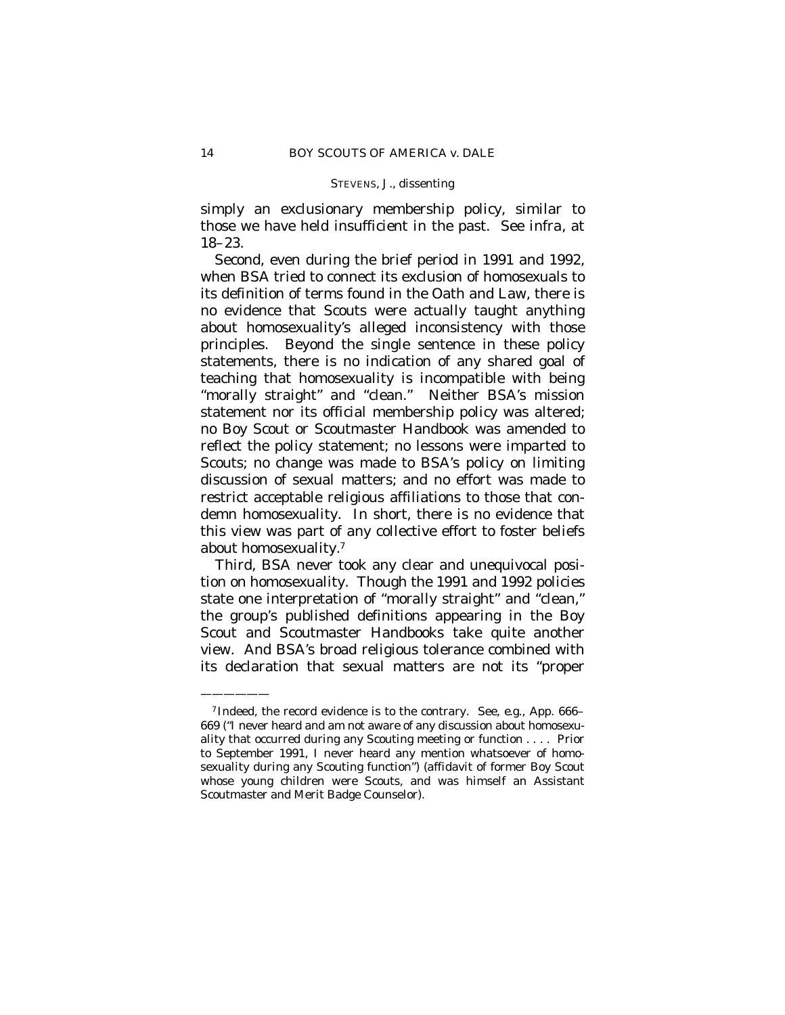simply an exclusionary membership policy, similar to those we have held insufficient in the past. See *infra*, at 18–23.

Second, even during the brief period in 1991 and 1992, when BSA tried to connect its exclusion of homosexuals to its definition of terms found in the Oath and Law, there is no evidence that Scouts were actually taught anything about homosexuality's alleged inconsistency with those principles. Beyond the single sentence in these policy statements, there is no indication of any shared goal of teaching that homosexuality is incompatible with being "morally straight" and "clean." Neither BSA's mission statement nor its official membership policy was altered; no Boy Scout or Scoutmaster Handbook was amended to reflect the policy statement; no lessons were imparted to Scouts; no change was made to BSA's policy on limiting discussion of sexual matters; and no effort was made to restrict acceptable religious affiliations to those that condemn homosexuality. In short, there is no evidence that this view was part of any collective effort to foster beliefs about homosexuality.<sup>7</sup>

Third, BSA never took any clear and unequivocal position on homosexuality. Though the 1991 and 1992 policies state one interpretation of "morally straight" and "clean," the group's published definitions appearing in the Boy Scout and Scoutmaster Handbooks take quite another view. And BSA's broad religious tolerance combined with its declaration that sexual matters are not its "proper

<sup>7</sup> Indeed, the record evidence is to the contrary. See, *e.g.*, App. 666– 669 ("I never heard and am not aware of any discussion about homosexuality that occurred during any Scouting meeting or function . . . . Prior to September 1991, I never heard any mention whatsoever of homosexuality during any Scouting function") (affidavit of former Boy Scout whose young children were Scouts, and was himself an Assistant Scoutmaster and Merit Badge Counselor).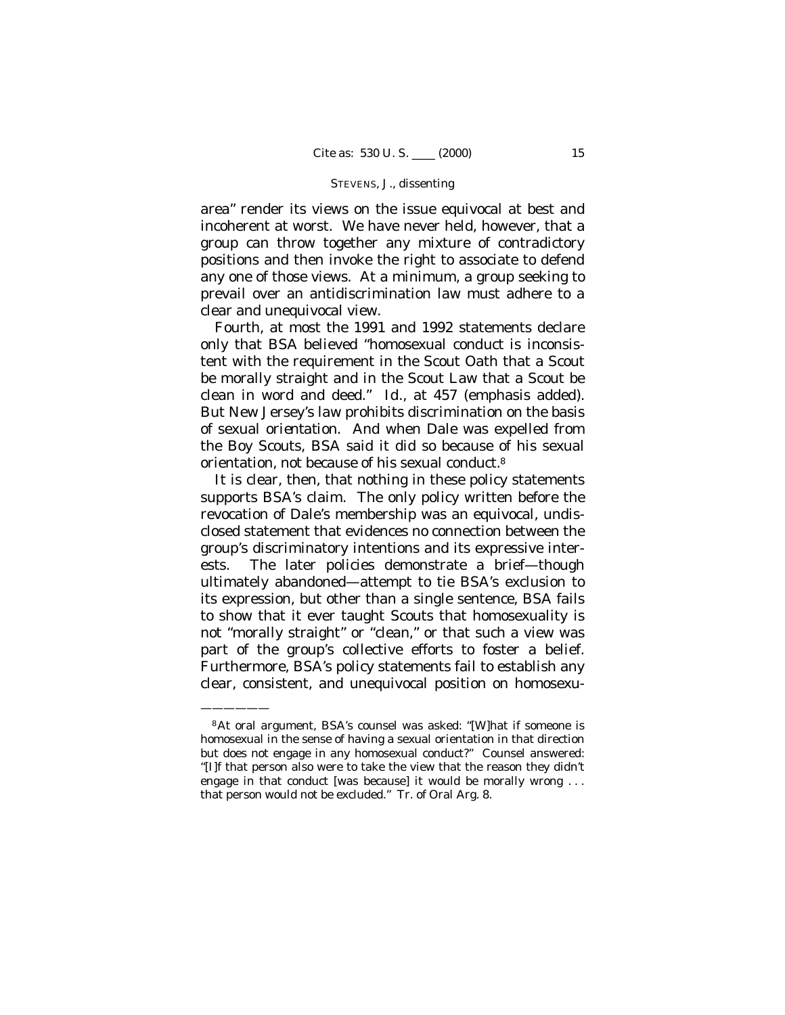area" render its views on the issue equivocal at best and incoherent at worst. We have never held, however, that a group can throw together any mixture of contradictory positions and then invoke the right to associate to defend any one of those views. At a minimum, a group seeking to prevail over an antidiscrimination law must adhere to a clear and unequivocal view.

Fourth, at most the 1991 and 1992 statements declare only that BSA believed "homosexual *conduct* is inconsistent with the requirement in the Scout Oath that a Scout be morally straight and in the Scout Law that a Scout be clean in word and deed." *Id.,* at 457 (emphasis added). But New Jersey's law prohibits discrimination on the basis of sexual *orientation*. And when Dale was expelled from the Boy Scouts, BSA said it did so because of his sexual orientation, not because of his sexual conduct.<sup>8</sup>

It is clear, then, that nothing in these policy statements supports BSA's claim. The only policy written before the revocation of Dale's membership was an equivocal, undisclosed statement that evidences no connection between the group's discriminatory intentions and its expressive interests. The later policies demonstrate a brief— though ultimately abandoned— attempt to tie BSA's exclusion to its expression, but other than a single sentence, BSA fails to show that it ever taught Scouts that homosexuality is not "morally straight" or "clean," or that such a view was part of the group's collective efforts to foster a belief. Furthermore, BSA's policy statements fail to establish any clear, consistent, and unequivocal position on homosexu-

<sup>8</sup>At oral argument, BSA's counsel was asked: "[W]hat if someone is homosexual in the sense of having a sexual orientation in that direction but does not engage in any homosexual conduct?" Counsel answered: "[I]f that person also were to take the view that the reason they didn't engage in that conduct [was because] it would be morally wrong ... that person would not be excluded." Tr. of Oral Arg. 8.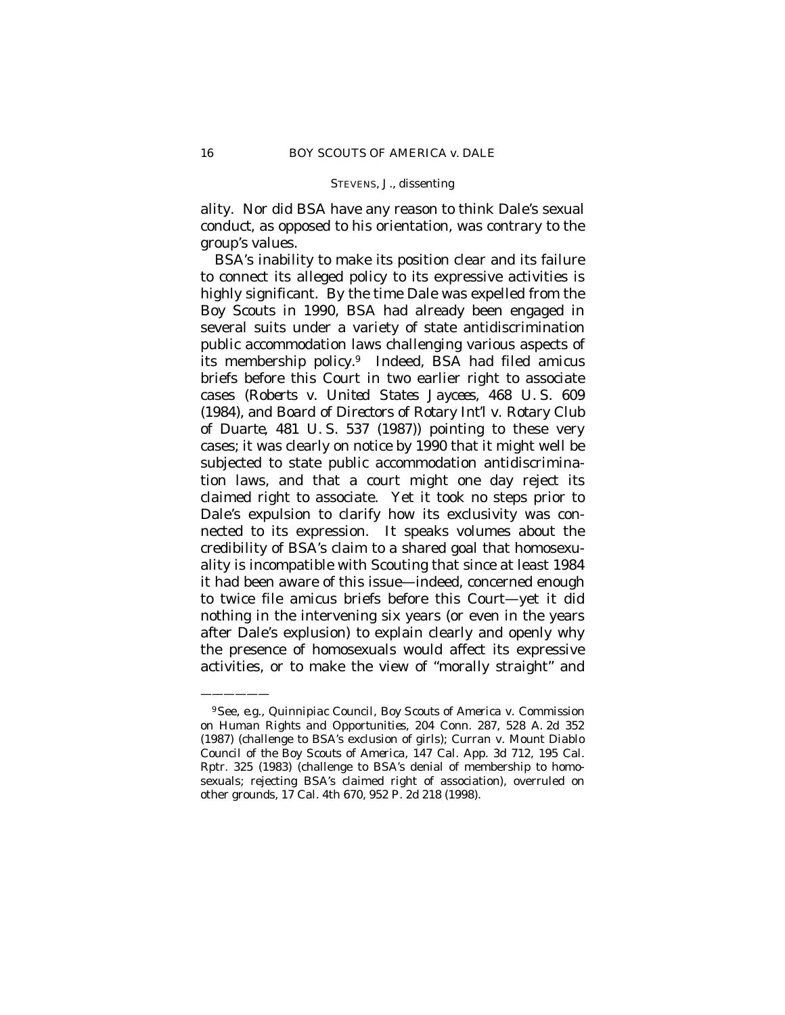ality. Nor did BSA have any reason to think Dale's sexual *conduct*, as opposed to his orientation, was contrary to the group's values.

BSA's inability to make its position clear and its failure to connect its alleged policy to its expressive activities is highly significant. By the time Dale was expelled from the Boy Scouts in 1990, BSA had already been engaged in several suits under a variety of state antidiscrimination public accommodation laws challenging various aspects of its membership policy.<sup>9</sup> Indeed, BSA had filed *amicus* briefs before this Court in two earlier right to associate cases (*Roberts* v. *United States Jaycees,* 468 U. S. 609 (1984), and *Board of Directors of Rotary Int'l* v. *Rotary Club of Duarte,* 481 U. S. 537 (1987)) pointing to these very cases; it was clearly on notice by 1990 that it might well be subjected to state public accommodation antidiscrimination laws, and that a court might one day reject its claimed right to associate. Yet it took no steps prior to Dale's expulsion to clarify how its exclusivity was connected to its expression. It speaks volumes about the credibility of BSA's claim to a shared goal that homosexuality is incompatible with Scouting that since at least 1984 it had been aware of this issue— indeed, concerned enough to twice file *amicus* briefs before this Court— yet it did nothing in the intervening six years (or even in the years after Dale's explusion) to explain clearly and openly why the presence of homosexuals would affect its expressive activities, or to make the view of "morally straight" and

<sup>9</sup>See, *e.g.*, *Quinnipiac Council, Boy Scouts of America* v. *Commission on Human Rights and Opportunities*, 204 Conn. 287, 528 A. 2d 352 (1987) (challenge to BSA's exclusion of girls); *Curran* v. *Mount Diablo Council of the Boy Scouts of America*, 147 Cal. App. 3d 712, 195 Cal. Rptr. 325 (1983) (challenge to BSA's denial of membership to homosexuals; rejecting BSA's claimed right of association), overruled on other grounds, 17 Cal. 4th 670, 952 P. 2d 218 (1998).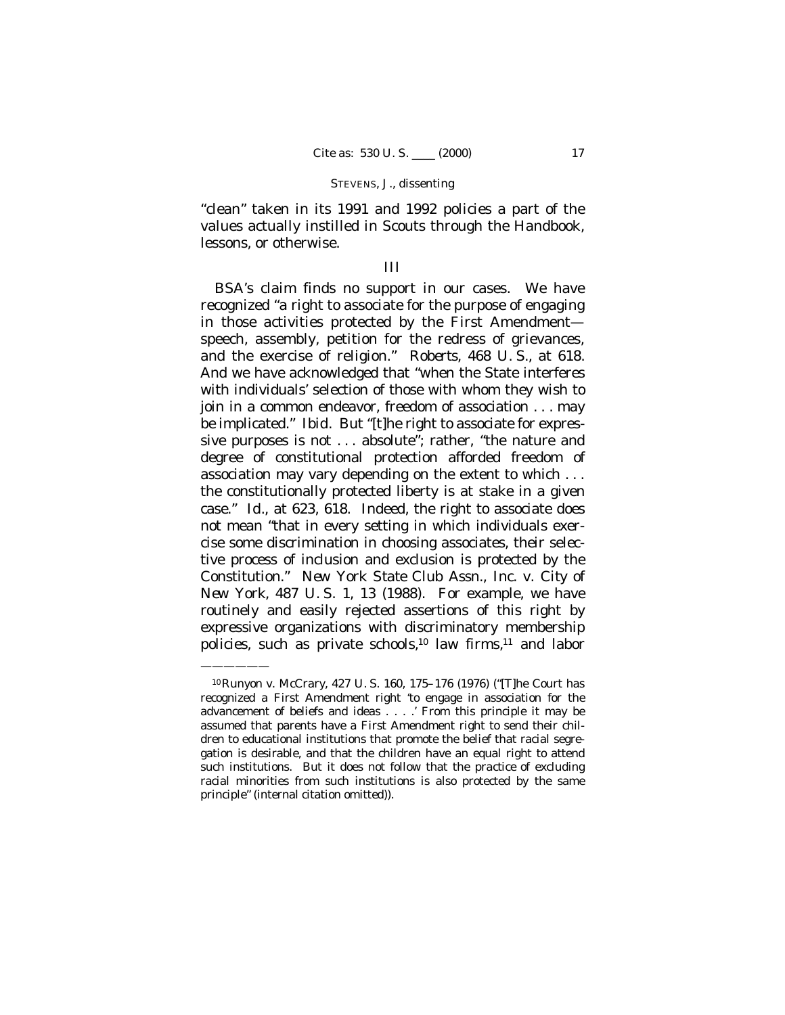"clean" taken in its 1991 and 1992 policies a part of the values actually instilled in Scouts through the Handbook, lessons, or otherwise.

## III

BSA's claim finds no support in our cases. We have recognized "a right to associate for the purpose of engaging in those activities protected by the First Amendment speech, assembly, petition for the redress of grievances, and the exercise of religion." *Roberts,* 468 U. S., at 618. And we have acknowledged that "when the State interferes with individuals' selection of those with whom they wish to join in a common endeavor, freedom of association . . . may be implicated." *Ibid.* But "[t]he right to associate for expressive purposes is not . . . absolute"; rather, "the nature and degree of constitutional protection afforded freedom of association may vary depending on the extent to which . . . the constitutionally protected liberty is at stake in a given case." *Id.*, at 623, 618. Indeed, the right to associate does not mean "that in every setting in which individuals exercise some discrimination in choosing associates, their selective process of inclusion and exclusion is protected by the Constitution." *New York State Club Assn., Inc.* v. *City of New York,* 487 U. S. 1, 13 (1988). For example, we have routinely and easily rejected assertions of this right by expressive organizations with discriminatory membership policies, such as private schools,<sup>10</sup> law firms,<sup>11</sup> and labor

<sup>10</sup>*Runyon* v. *McCrary,* 427 U. S. 160, 175–176 (1976) ("[T]he Court has recognized a First Amendment right 'to engage in association for the advancement of beliefs and ideas . . . .' From this principle it may be assumed that parents have a First Amendment right to send their children to educational institutions that promote the belief that racial segregation is desirable, and that the children have an equal right to attend such institutions. But it does not follow that the *practice* of excluding racial minorities from such institutions is also protected by the same principle" (internal citation omitted)).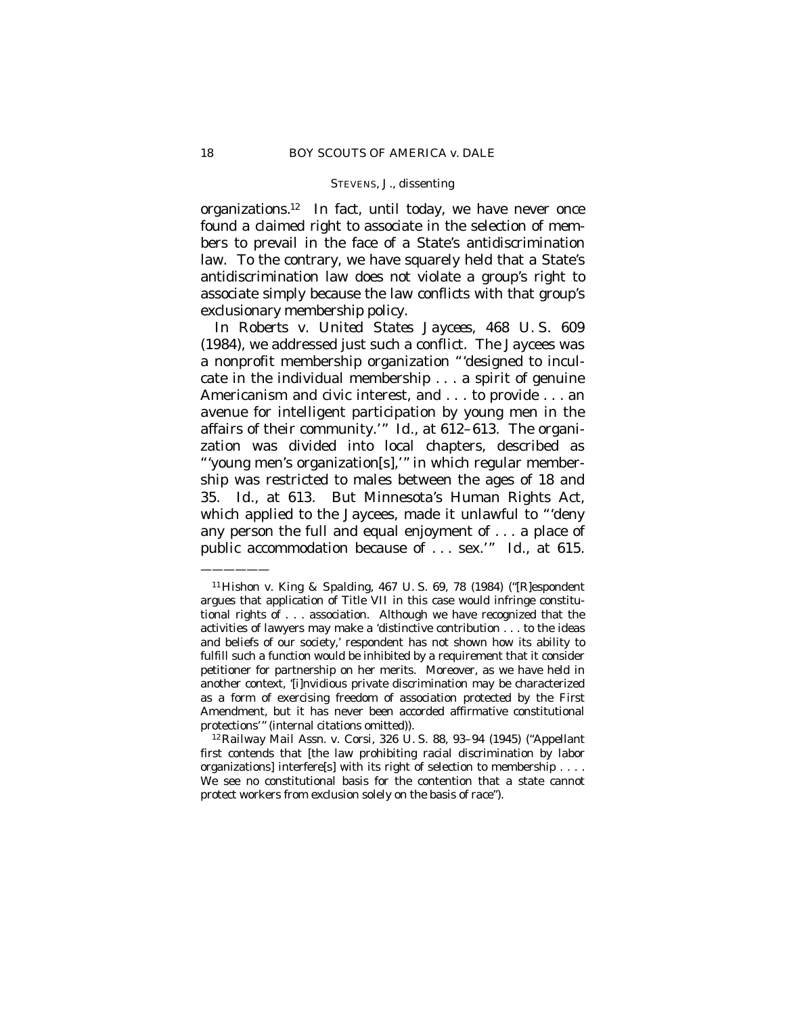organizations.12 In fact, until today, we have never once found a claimed right to associate in the selection of members to prevail in the face of a State's antidiscrimination law. To the contrary, we have squarely held that a State's antidiscrimination law does not violate a group's right to associate simply because the law conflicts with that group's exclusionary membership policy.

In *Roberts* v. *United States Jaycees,* 468 U. S. 609 (1984), we addressed just such a conflict. The Jaycees was a nonprofit membership organization "'designed to inculcate in the individual membership . . . a spirit of genuine Americanism and civic interest, and . . . to provide . . . an avenue for intelligent participation by young men in the affairs of their community.'" *Id.*, at 612–613. The organization was divided into local chapters, described as "'young men's organization[s],'" in which regular membership was restricted to males between the ages of 18 and 35. *Id.*, at 613. But Minnesota's Human Rights Act, which applied to the Jaycees, made it unlawful to "'deny any person the full and equal enjoyment of . . . a place of public accommodation because of . . . sex.'" *Id.*, at 615.

<sup>11</sup>*Hishon* v. *King & Spalding,* 467 U. S. 69, 78 (1984) ("[R]espondent argues that application of Title VII in this case would infringe constitutional rights of . . . association. Although we have recognized that the activities of lawyers may make a 'distinctive contribution . . . to the ideas and beliefs of our society,' respondent has not shown how its ability to fulfill such a function would be inhibited by a requirement that it consider petitioner for partnership on her merits. Moreover, as we have held in another context, '[i]nvidious private discrimination may be characterized as a form of exercising freedom of association protected by the First Amendment, but it has never been accorded affirmative constitutional protections'" (internal citations omitted)).

<sup>12</sup>*Railway Mail Assn.* v. *Corsi,* 326 U. S. 88, 93–94 (1945) ("Appellant first contends that [the law prohibiting racial discrimination by labor organizations] interfere[s] with its right of selection to membership . . . . We see no constitutional basis for the contention that a state cannot protect workers from exclusion solely on the basis of race").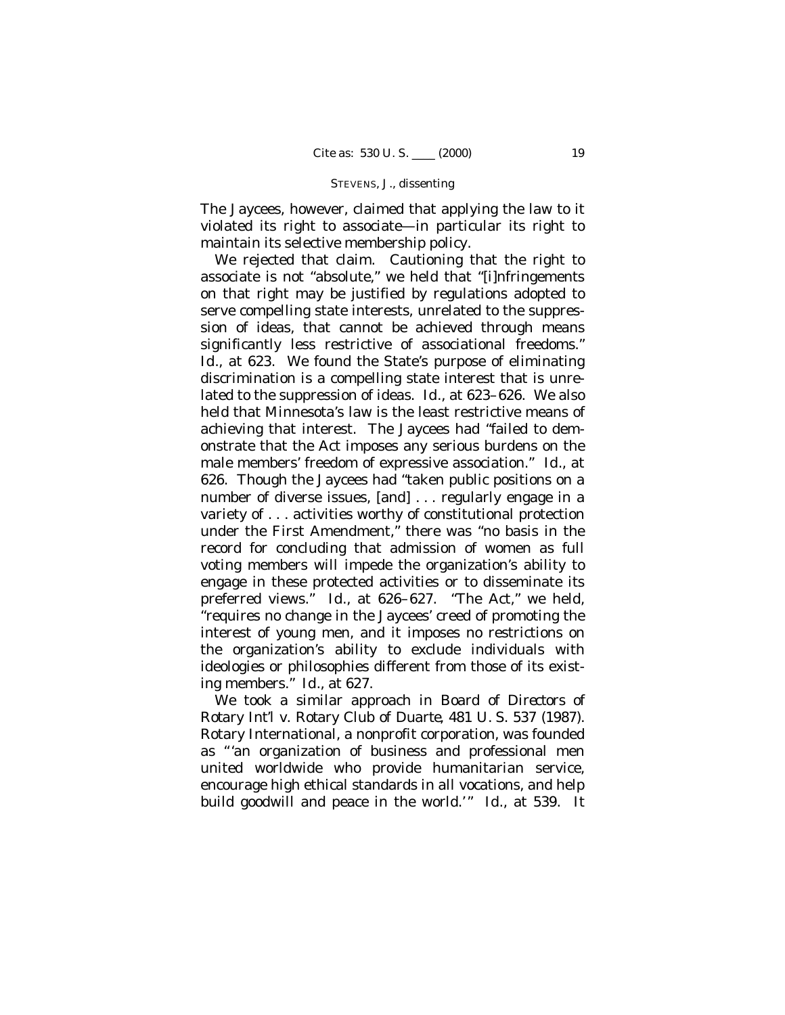The Jaycees, however, claimed that applying the law to it violated its right to associate— in particular its right to maintain its selective membership policy.

We rejected that claim. Cautioning that the right to associate is not "absolute," we held that "[i]nfringements on that right may be justified by regulations adopted to serve compelling state interests, unrelated to the suppression of ideas, that cannot be achieved through means significantly less restrictive of associational freedoms." *Id.*, at 623. We found the State's purpose of eliminating discrimination is a compelling state interest that is unrelated to the suppression of ideas. *Id.*, at 623–626. We also held that Minnesota's law is the least restrictive means of achieving that interest. The Jaycees had "failed to demonstrate that the Act imposes any serious burdens on the male members' freedom of expressive association." *Id.*, at 626. Though the Jaycees had "taken public positions on a number of diverse issues, [and] ... regularly engage in a variety of . . . activities worthy of constitutional protection under the First Amendment," there was "no basis in the record for concluding that admission of women as full voting members will impede the organization's ability to engage in these protected activities or to disseminate its preferred views." *Id.*, at 626–627. "The Act," we held, "requires no change in the Jaycees' creed of promoting the interest of young men, and it imposes no restrictions on the organization's ability to exclude individuals with ideologies or philosophies different from those of its existing members." *Id.*, at 627.

We took a similar approach in *Board of Directors of Rotary Int'l* v. *Rotary Club of Duarte,* 481 U. S. 537 (1987). Rotary International, a nonprofit corporation, was founded as "'an organization of business and professional men united worldwide who provide humanitarian service, encourage high ethical standards in all vocations, and help build goodwill and peace in the world.'" *Id.*, at 539. It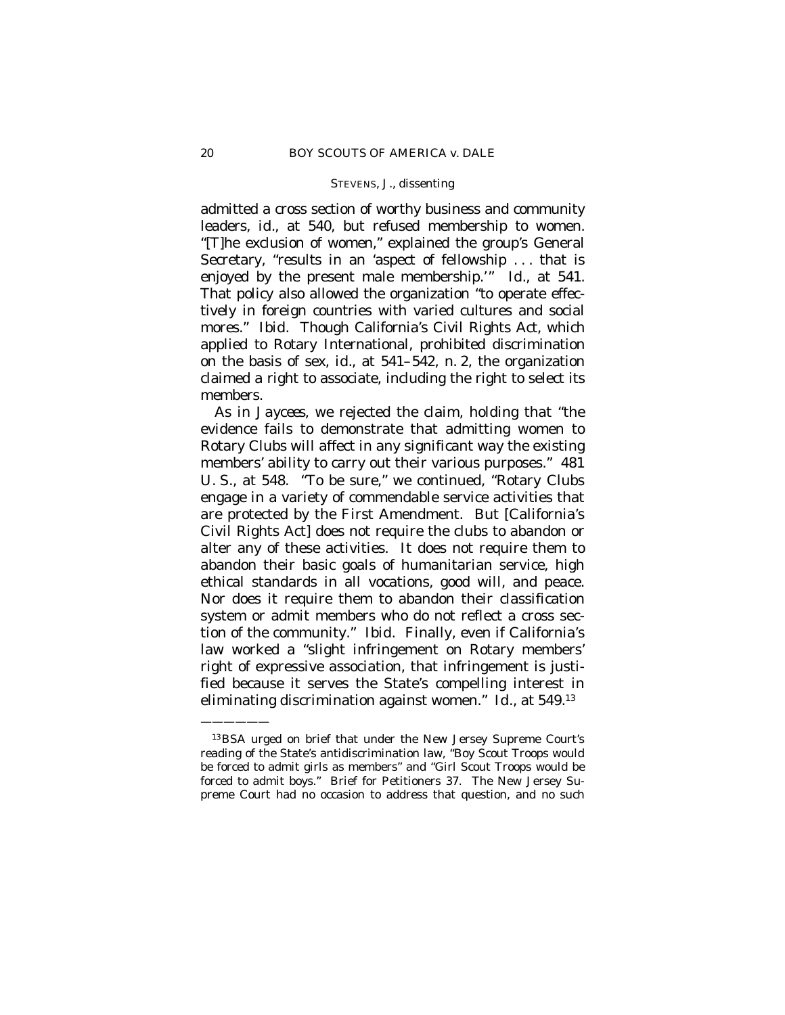admitted a cross section of worthy business and community leaders, *id.*, at 540, but refused membership to women. "[T]he exclusion of women," explained the group's General Secretary, "results in an 'aspect of fellowship . . . that is enjoyed by the present male membership.'" *Id.*, at 541. That policy also allowed the organization "to operate effectively in foreign countries with varied cultures and social mores." *Ibid.* Though California's Civil Rights Act, which applied to Rotary International, prohibited discrimination on the basis of sex, *id.*, at 541–542, n. 2, the organization claimed a right to associate, including the right to select its members.

As in *Jaycees*, we rejected the claim, holding that "the evidence fails to demonstrate that admitting women to Rotary Clubs will affect in any significant way the existing members' ability to carry out their various purposes." 481 U. S., at 548. "To be sure," we continued, "Rotary Clubs engage in a variety of commendable service activities that are protected by the First Amendment. But [California's Civil Rights Act] does not require the clubs to abandon or alter any of these activities. It does not require them to abandon their basic goals of humanitarian service, high ethical standards in all vocations, good will, and peace. Nor does it require them to abandon their classification system or admit members who do not reflect a cross section of the community." *Ibid.* Finally, even if California's law worked a "slight infringement on Rotary members' right of expressive association, that infringement is justified because it serves the State's compelling interest in eliminating discrimination against women." *Id.*, at 549.<sup>13</sup>

<sup>13</sup>BSA urged on brief that under the New Jersey Supreme Court's reading of the State's antidiscrimination law, "Boy Scout Troops would be forced to admit girls as members" and "Girl Scout Troops would be forced to admit boys." Brief for Petitioners 37. The New Jersey Supreme Court had no occasion to address that question, and no such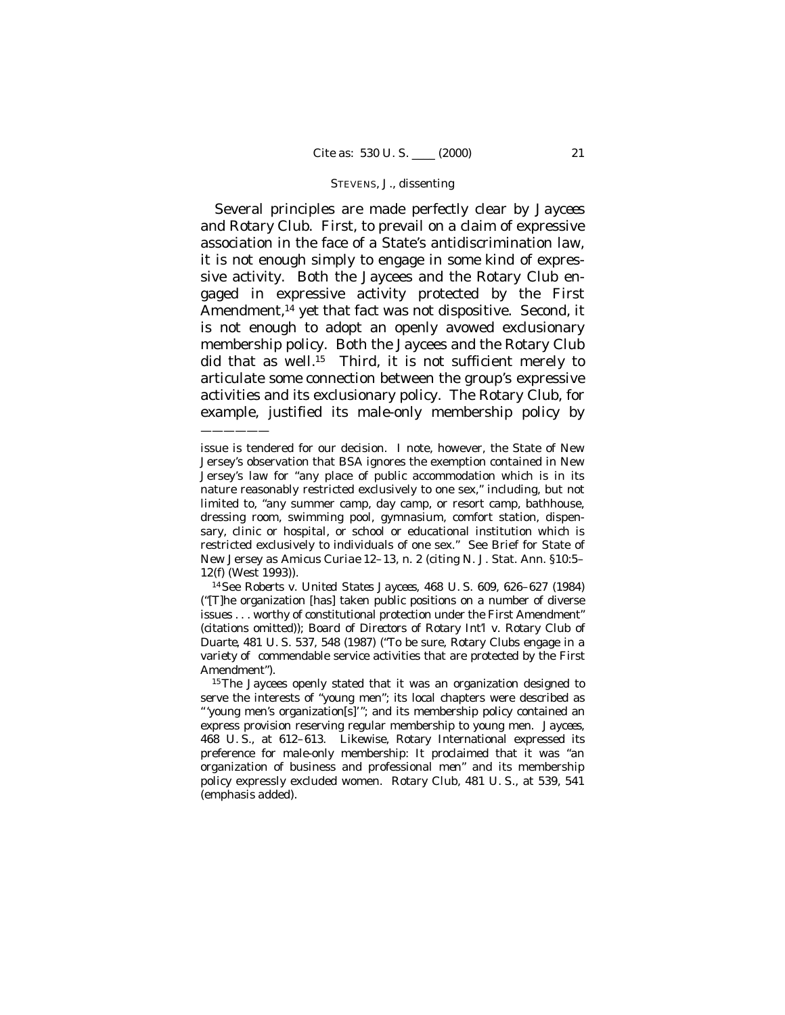Several principles are made perfectly clear by *Jaycees* and *Rotary Club*. First, to prevail on a claim of expressive association in the face of a State's antidiscrimination law, it is not enough simply to engage in *some kind* of expressive activity. Both the Jaycees and the Rotary Club engaged in expressive activity protected by the First Amendment,14 yet that fact was not dispositive. Second, it is not enough to adopt an openly avowed exclusionary membership policy. Both the Jaycees and the Rotary Club did that as well.15 Third, it is not sufficient merely to articulate *some* connection between the group's expressive activities and its exclusionary policy. The Rotary Club, for example, justified its male-only membership policy by ——————

issue is tendered for our decision. I note, however, the State of New Jersey's observation that BSA ignores the exemption contained in New Jersey's law for "any place of public accommodation which is in its nature reasonably restricted exclusively to one sex," including, but not limited to, "any summer camp, day camp, or resort camp, bathhouse, dressing room, swimming pool, gymnasium, comfort station, dispensary, clinic or hospital, or school or educational institution which is restricted exclusively to individuals of one sex." See Brief for State of New Jersey as *Amicus Curiae* 12–13, n. 2 (citing N. J. Stat. Ann. §10:5– 12(f) (West 1993)).

<sup>14</sup>See *Roberts* v. *United States Jaycees*, 468 U. S. 609, 626–627 (1984) ("[T]he organization [has] taken public positions on a number of diverse issues . . . worthy of constitutional protection under the First Amendment" (citations omitted)); *Board of Directors of Rotary Int'l* v. *Rotary Club of Duarte,* 481 U. S. 537, 548 (1987) ("To be sure, Rotary Clubs engage in a variety of commendable service activities that are protected by the First Amendment").

<sup>15</sup>The Jaycees openly stated that it was an organization designed to serve the interests of "young men"; its local chapters were described as "'young men's organization[s]'"; and its membership policy contained an express provision reserving regular membership to young men. *Jaycees*, 468 U. S., at 612–613. Likewise, Rotary International expressed its preference for male-only membership: It proclaimed that it was "an organization of business and professional *men*" and its membership policy expressly excluded women. *Rotary Club*, 481 U. S., at 539, 541 (emphasis added).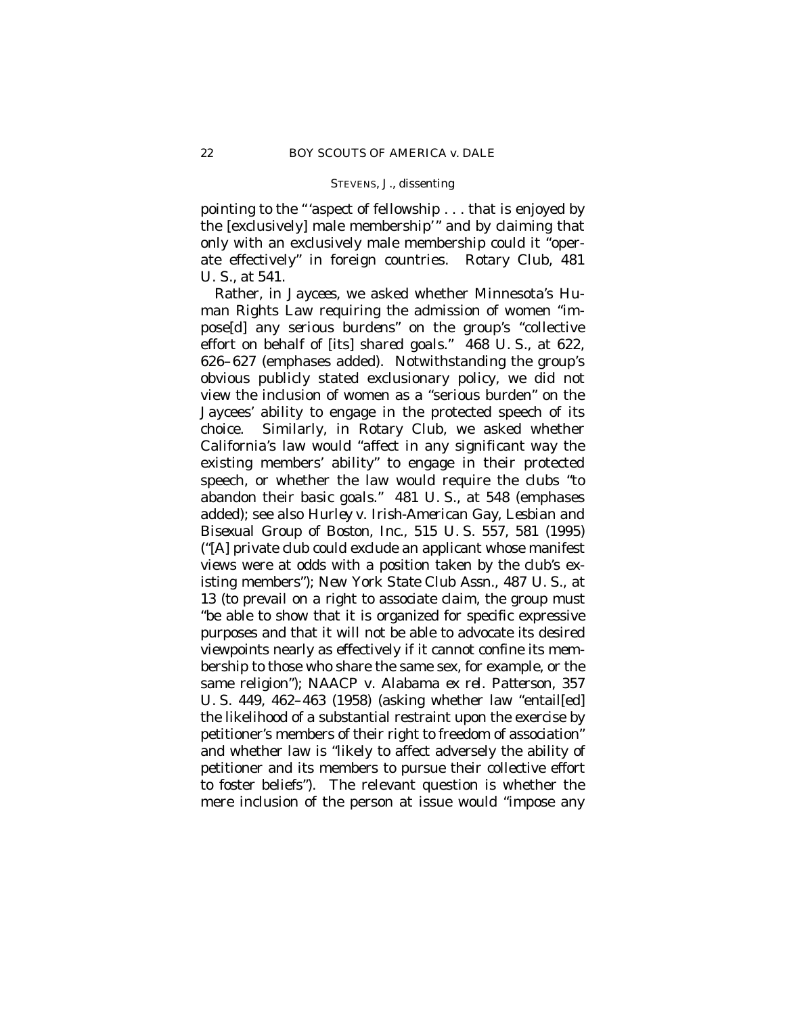pointing to the "'aspect of fellowship . . . that is enjoyed by the [exclusively] male membership'" and by claiming that only with an exclusively male membership could it "operate effectively" in foreign countries. *Rotary Club*, 481 U. S., at 541.

Rather, in *Jaycees*, we asked whether Minnesota's Human Rights Law requiring the admission of women "impose[d] any *serious burdens*" on the group's "collective effort on behalf of [its] *shared goals*." 468 U. S., at 622, 626–627 (emphases added). Notwithstanding the group's obvious publicly stated exclusionary policy, we did not view the inclusion of women as a "serious burden" on the Jaycees' ability to engage in the protected speech of its choice. Similarly, in *Rotary Club*, we asked whether California's law would "affect in any *significant way* the existing members' ability" to engage in their protected speech, or whether the law would require the clubs "to abandon their *basic goals.*" 481 U. S., at 548 (emphases added); see also *Hurley* v. *Irish-American Gay, Lesbian and Bisexual Group of Boston, Inc.,* 515 U. S. 557, 581 (1995) ("[A] private club could exclude an applicant whose manifest views were at odds with a position taken by the club's existing members"); *New York State Club Assn.,* 487 U. S., at 13 (to prevail on a right to associate claim, the group must "be able to show that it is organized for specific expressive purposes and that it will not be able to advocate its desired viewpoints nearly as effectively if it cannot confine its membership to those who share the same sex, for example, or the same religion"); *NAACP* v. *Alabama ex rel. Patterson,* 357 U. S. 449, 462–463 (1958) (asking whether law "entail[ed] the likelihood of a substantial restraint upon the exercise by petitioner's members of their right to freedom of association" and whether law is "likely to affect adversely the ability of petitioner and its members to pursue their collective effort to foster beliefs"). The relevant question is whether the mere inclusion of the person at issue would "impose any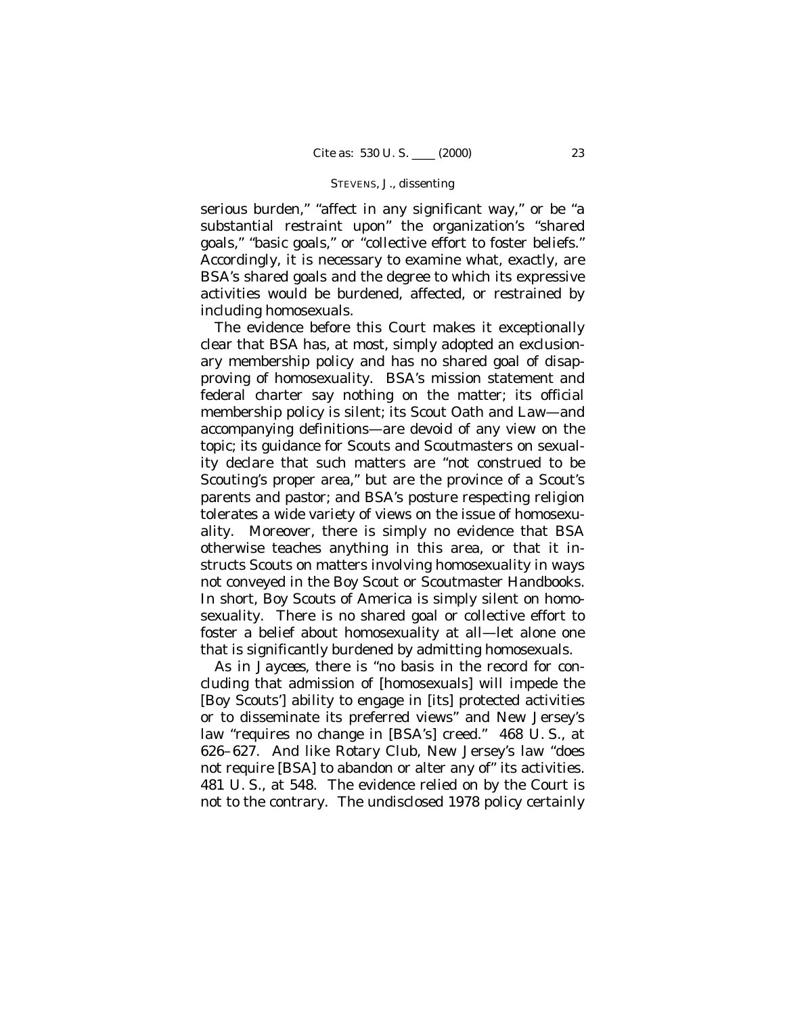serious burden," "affect in any significant way," or be "a substantial restraint upon" the organization's "shared goals," "basic goals," or "collective effort to foster beliefs." Accordingly, it is necessary to examine what, exactly, are BSA's shared goals and the degree to which its expressive activities would be burdened, affected, or restrained by including homosexuals.

The evidence before this Court makes it exceptionally clear that BSA has, at most, simply adopted an exclusionary membership policy and has no shared goal of disapproving of homosexuality. BSA's mission statement and federal charter say nothing on the matter; its official membership policy is silent; its Scout Oath and Law— and accompanying definitions— are devoid of any view on the topic; its guidance for Scouts and Scoutmasters on sexuality declare that such matters are "not construed to be Scouting's proper area," but are the province of a Scout's parents and pastor; and BSA's posture respecting religion tolerates a wide variety of views on the issue of homosexuality. Moreover, there is simply no evidence that BSA otherwise teaches anything in this area, or that it instructs Scouts on matters involving homosexuality in ways not conveyed in the Boy Scout or Scoutmaster Handbooks. In short, Boy Scouts of America is simply silent on homosexuality. There is no shared goal or collective effort to foster a belief about homosexuality at all— let alone one that is significantly burdened by admitting homosexuals.

As in *Jaycees*, there is "no basis in the record for concluding that admission of [homosexuals] will impede the [Boy Scouts'] ability to engage in [its] protected activities or to disseminate its preferred views" and New Jersey's law "requires no change in [BSA's] creed." 468 U. S., at 626–627. And like *Rotary Club*, New Jersey's law "does not require [BSA] to abandon or alter any of" its activities. 481 U. S., at 548. The evidence relied on by the Court is not to the contrary. The undisclosed 1978 policy certainly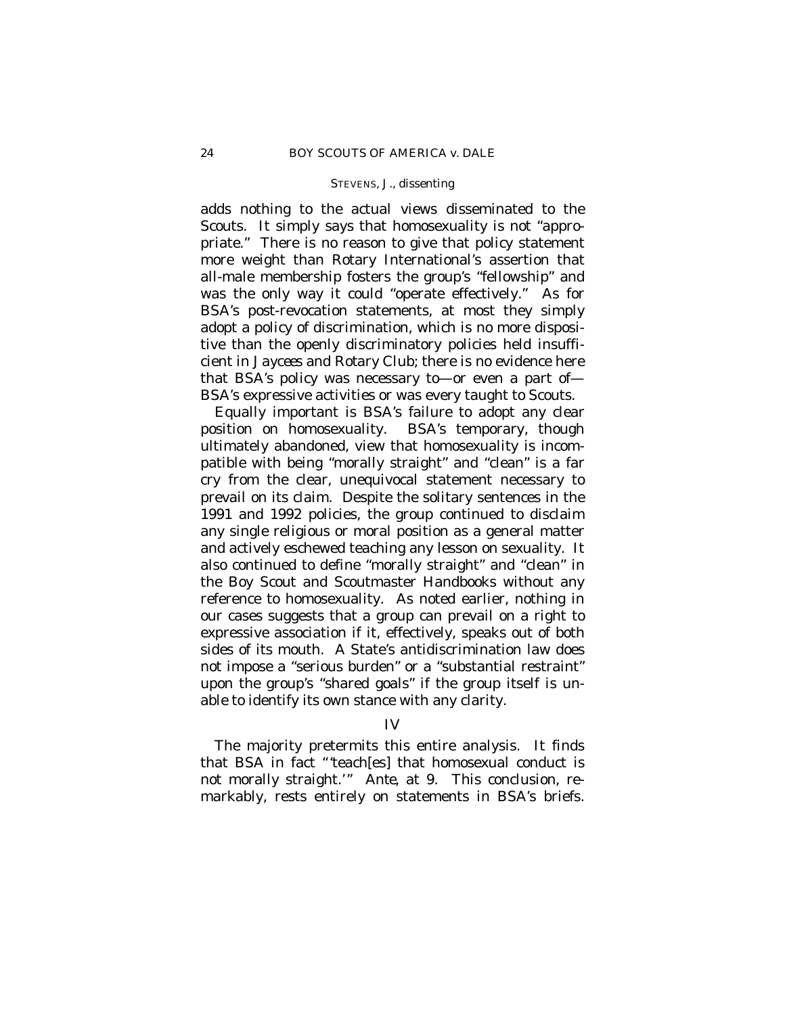adds nothing to the actual views disseminated to the Scouts. It simply says that homosexuality is not "appropriate." There is no reason to give that policy statement more weight than Rotary International's assertion that all-male membership fosters the group's "fellowship" and was the only way it could "operate effectively." As for BSA's post-revocation statements, at most they simply adopt a policy of discrimination, which is no more dispositive than the openly discriminatory policies held insufficient in *Jaycees* and *Rotary Club*; there is no evidence here that BSA's policy was necessary to— or even a part of— BSA's expressive activities or was every taught to Scouts.

Equally important is BSA's failure to adopt any clear position on homosexuality. BSA's temporary, though ultimately abandoned, view that homosexuality is incompatible with being "morally straight" and "clean" is a far cry from the clear, unequivocal statement necessary to prevail on its claim. Despite the solitary sentences in the 1991 and 1992 policies, the group continued to disclaim any single religious or moral position as a general matter and actively eschewed teaching any lesson on sexuality. It also continued to define "morally straight" and "clean" in the Boy Scout and Scoutmaster Handbooks without any reference to homosexuality. As noted earlier, nothing in our cases suggests that a group can prevail on a right to expressive association if it, effectively, speaks out of both sides of its mouth. A State's antidiscrimination law does not impose a "serious burden" or a "substantial restraint" upon the group's "shared goals" if the group itself is unable to identify its own stance with any clarity.

## IV

The majority pretermits this entire analysis. It finds that BSA in fact "'teach[es] that homosexual conduct is not morally straight.'" *Ante*, at 9. This conclusion, remarkably, rests entirely on statements in BSA's briefs.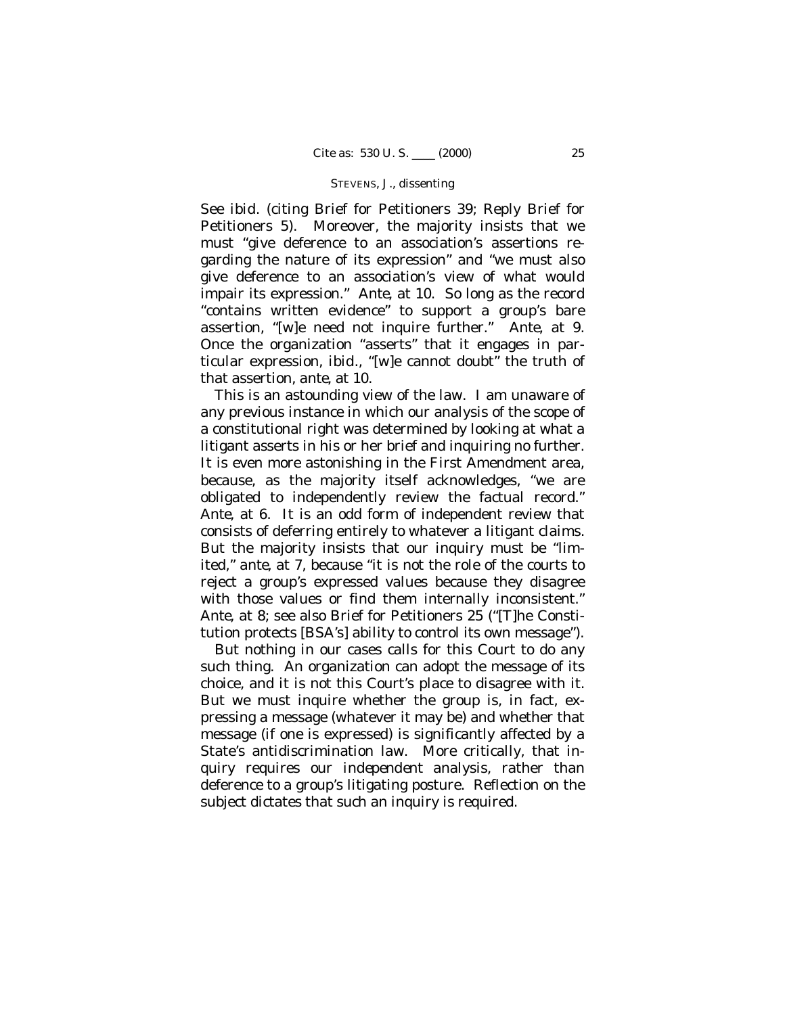See *ibid.* (citing Brief for Petitioners 39; Reply Brief for Petitioners 5). Moreover, the majority insists that we must "give deference to an association's assertions regarding the nature of its expression" and "we must also give deference to an association's view of what would impair its expression." *Ante*, at 10. So long as the record "contains written evidence" to support a group's bare assertion, "[w]e need not inquire further." *Ante*, at 9. Once the organization "asserts" that it engages in particular expression, *ibid.*, "[w]e cannot doubt" the truth of that assertion, *ante*, at 10.

This is an astounding view of the law. I am unaware of any previous instance in which our analysis of the scope of a constitutional right was determined by looking at what a litigant asserts in his or her brief and inquiring no further. It is even more astonishing in the First Amendment area, because, as the majority itself acknowledges, "we are obligated to independently review the factual record." *Ante*, at 6. It is an odd form of independent review that consists of deferring entirely to whatever a litigant claims. But the majority insists that our inquiry must be "limited," *ante*, at 7, because "it is not the role of the courts to reject a group's expressed values because they disagree with those values or find them internally inconsistent." *Ante*, at 8; see also Brief for Petitioners 25 ("[T]he Constitution protects [BSA's] ability to control its own message").

But nothing in our cases calls for this Court to do any such thing. An organization can adopt the message of its choice, and it is not this Court's place to disagree with it. But we must inquire whether the group is, in fact, expressing a message (whatever it may be) and whether that message (if one is expressed) is significantly affected by a State's antidiscrimination law. More critically, that inquiry requires our *independent* analysis, rather than deference to a group's litigating posture. Reflection on the subject dictates that such an inquiry is required.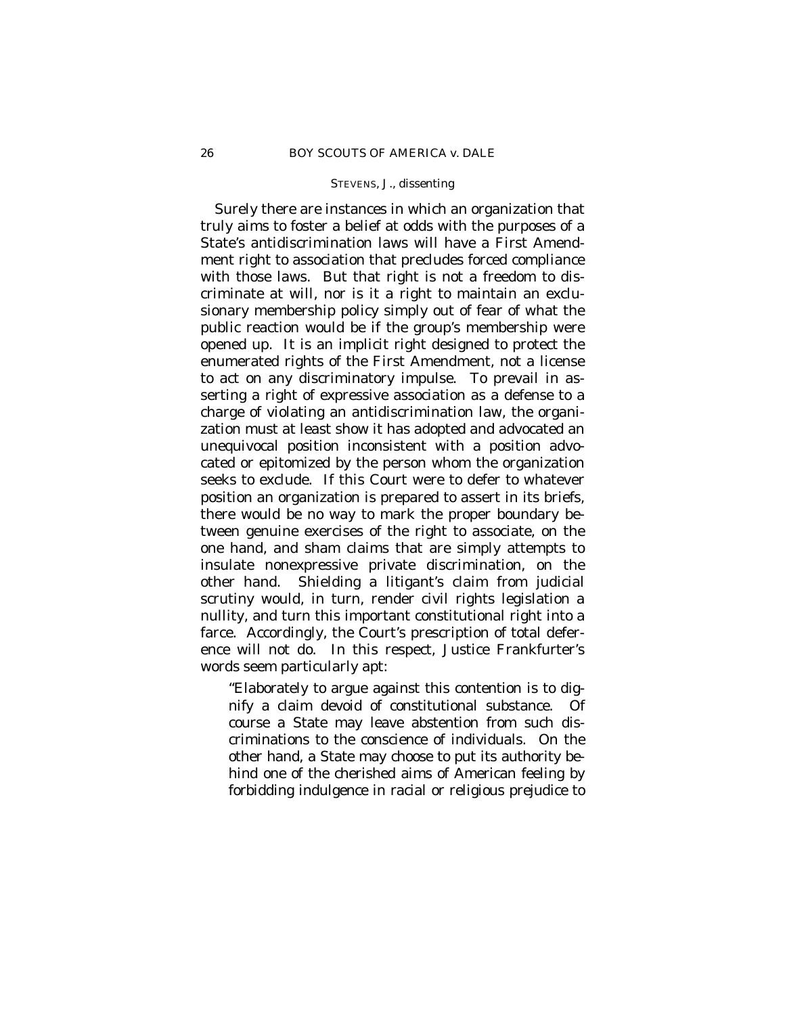Surely there are instances in which an organization that truly aims to foster a belief at odds with the purposes of a State's antidiscrimination laws will have a First Amendment right to association that precludes forced compliance with those laws. But that right is not a freedom to discriminate at will, nor is it a right to maintain an exclusionary membership policy simply out of fear of what the public reaction would be if the group's membership were opened up. It is an implicit right designed to protect the enumerated rights of the First Amendment, not a license to act on any discriminatory impulse. To prevail in asserting a right of expressive association as a defense to a charge of violating an antidiscrimination law, the organization must at least show it has adopted and advocated an unequivocal position inconsistent with a position advocated or epitomized by the person whom the organization seeks to exclude. If this Court were to defer to whatever position an organization is prepared to assert in its briefs, there would be no way to mark the proper boundary between genuine exercises of the right to associate, on the one hand, and sham claims that are simply attempts to insulate nonexpressive private discrimination, on the other hand. Shielding a litigant's claim from judicial scrutiny would, in turn, render civil rights legislation a nullity, and turn this important constitutional right into a farce. Accordingly, the Court's prescription of total deference will not do. In this respect, Justice Frankfurter's words seem particularly apt:

"Elaborately to argue against this contention is to dignify a claim devoid of constitutional substance. Of course a State may leave abstention from such discriminations to the conscience of individuals. On the other hand, a State may choose to put its authority behind one of the cherished aims of American feeling by forbidding indulgence in racial or religious prejudice to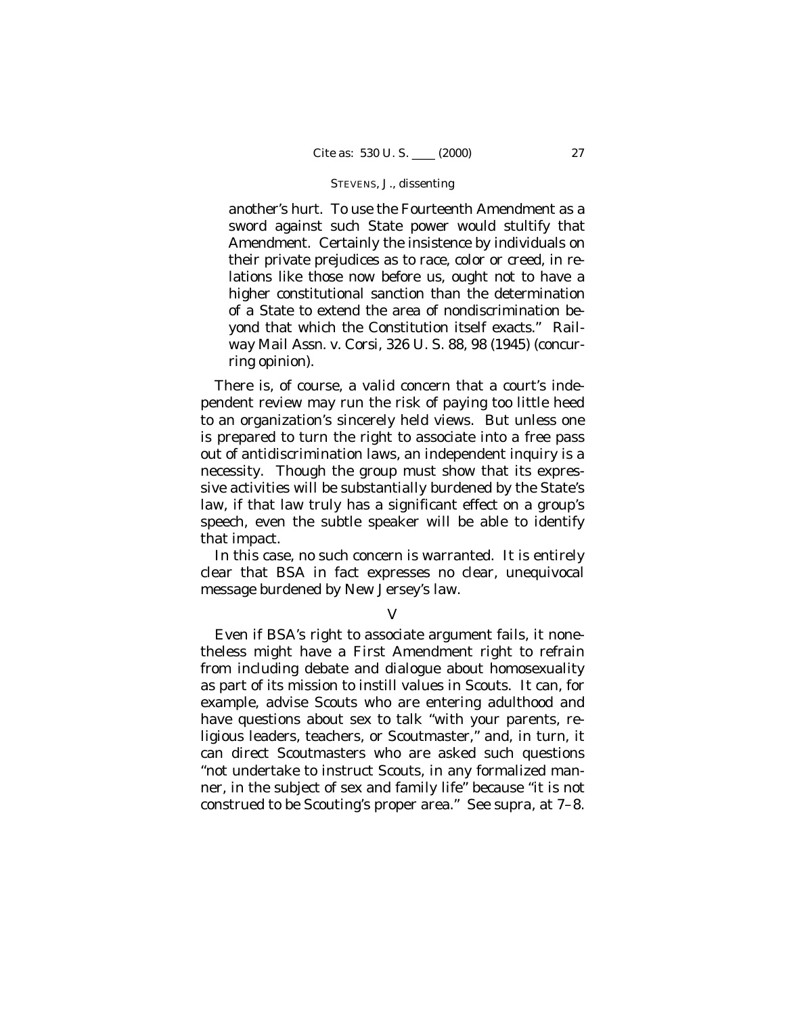another's hurt. To use the Fourteenth Amendment as a sword against such State power would stultify that Amendment. Certainly the insistence by individuals on their private prejudices as to race, color or creed, in relations like those now before us, ought not to have a higher constitutional sanction than the determination of a State to extend the area of nondiscrimination beyond that which the Constitution itself exacts." *Railway Mail Assn.* v. *Corsi*, 326 U. S. 88, 98 (1945) (concurring opinion).

There is, of course, a valid concern that a court's independent review may run the risk of paying too little heed to an organization's sincerely held views. But unless one is prepared to turn the right to associate into a free pass out of antidiscrimination laws, an independent inquiry is a necessity. Though the group must show that its expressive activities will be substantially burdened by the State's law, if that law truly has a significant effect on a group's speech, even the subtle speaker will be able to identify that impact.

In this case, no such concern is warranted. It is entirely clear that BSA in fact expresses no clear, unequivocal message burdened by New Jersey's law.

V

Even if BSA's right to associate argument fails, it nonetheless might have a First Amendment right to refrain from including debate and dialogue about homosexuality as part of its mission to instill values in Scouts. It can, for example, advise Scouts who are entering adulthood and have questions about sex to talk "with your parents, religious leaders, teachers, or Scoutmaster," and, in turn, it can direct Scoutmasters who are asked such questions "not undertake to instruct Scouts, in any formalized manner, in the subject of sex and family life" because "it is not construed to be Scouting's proper area." See *supra*, at 7–8.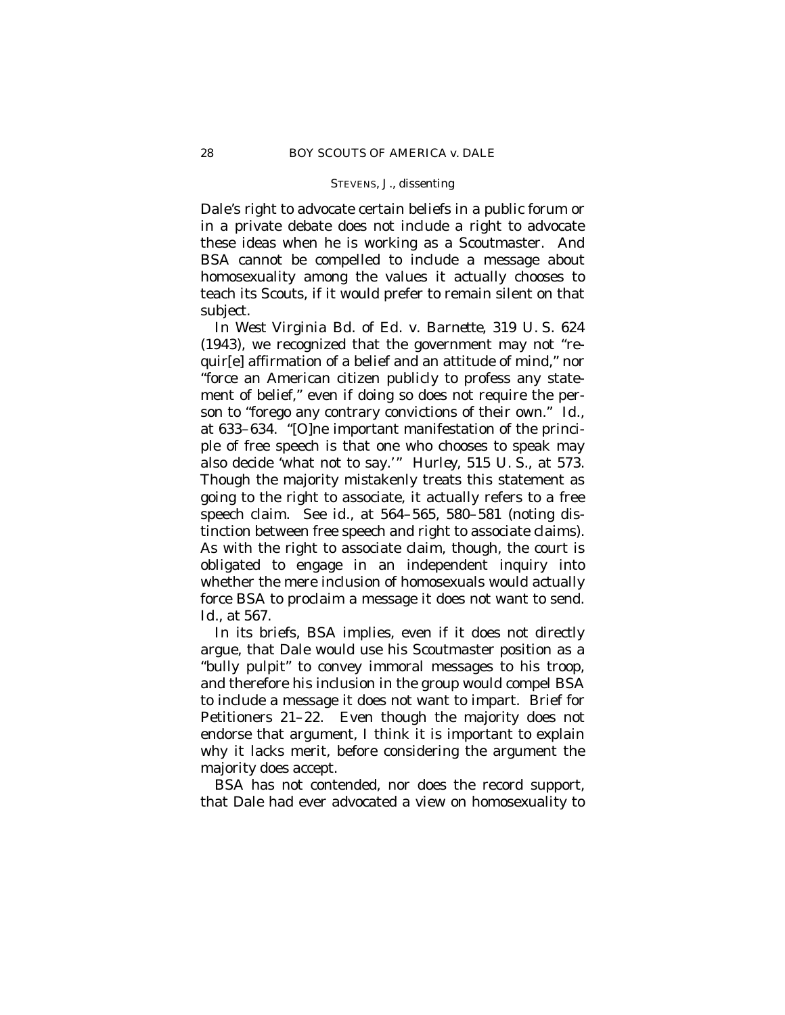Dale's right to advocate certain beliefs in a public forum or in a private debate does not include a right to advocate these ideas when he is working as a Scoutmaster. And BSA cannot be compelled to include a message about homosexuality among the values it actually chooses to teach its Scouts, if it would prefer to remain silent on that subject.

In *West Virginia Bd. of Ed.* v. *Barnette,* 319 U. S. 624 (1943), we recognized that the government may not "requir[e] affirmation of a belief and an attitude of mind," nor "force an American citizen publicly to profess any statement of belief," even if doing so does not require the person to "forego any contrary convictions of their own." *Id.*, at 633–634. "[O]ne important manifestation of the principle of free speech is that one who chooses to speak may also decide 'what not to say.'" *Hurley*, 515 U. S., at 573. Though the majority mistakenly treats this statement as going to the right to associate, it actually refers to a free speech claim. See *id.,* at 564–565, 580–581 (noting distinction between free speech and right to associate claims). As with the right to associate claim, though, the court is obligated to engage in an independent inquiry into whether the mere inclusion of homosexuals would actually force BSA to proclaim a message it does not want to send. *Id.,* at 567.

In its briefs, BSA implies, even if it does not directly argue, that Dale would use his Scoutmaster position as a "bully pulpit" to convey immoral messages to his troop, and therefore his inclusion in the group would compel BSA to include a message it does not want to impart. Brief for Petitioners 21–22. Even though the majority does not endorse that argument, I think it is important to explain why it lacks merit, before considering the argument the majority does accept.

BSA has not contended, nor does the record support, that Dale had ever advocated a view on homosexuality to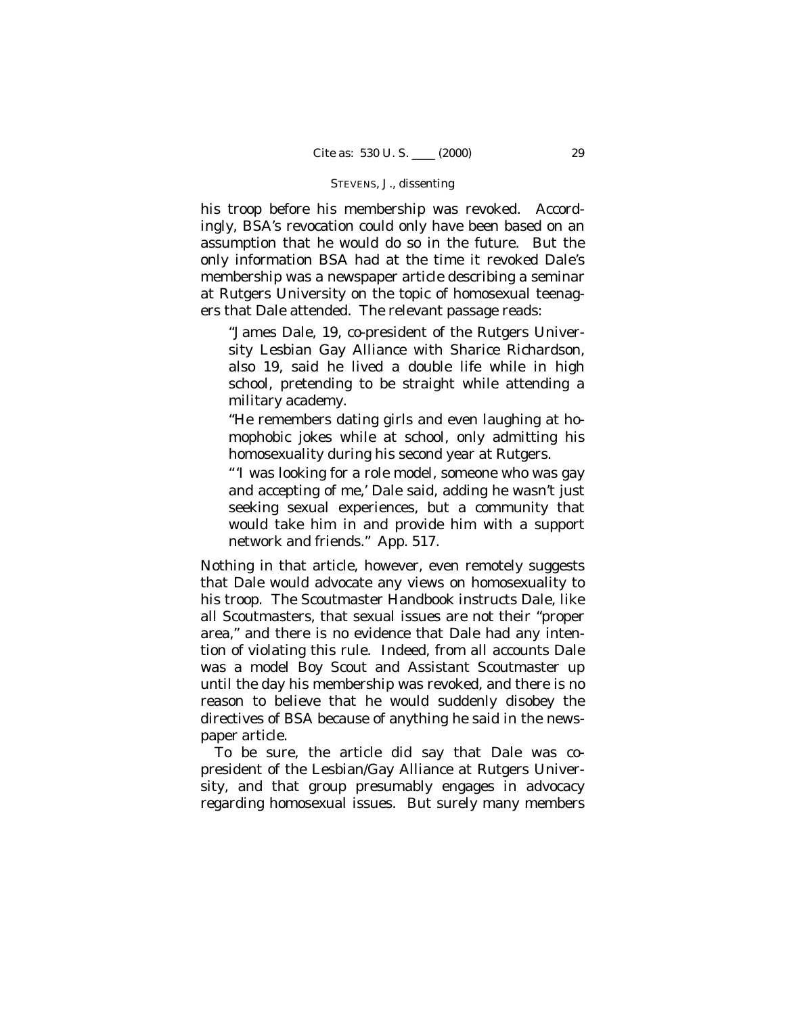his troop before his membership was revoked. Accordingly, BSA's revocation could only have been based on an assumption that he would do so in the future. But the only information BSA had at the time it revoked Dale's membership was a newspaper article describing a seminar at Rutgers University on the topic of homosexual teenagers that Dale attended. The relevant passage reads:

"James Dale, 19, co-president of the Rutgers University Lesbian Gay Alliance with Sharice Richardson, also 19, said he lived a double life while in high school, pretending to be straight while attending a military academy.

"He remembers dating girls and even laughing at homophobic jokes while at school, only admitting his homosexuality during his second year at Rutgers.

"'I was looking for a role model, someone who was gay and accepting of me,' Dale said, adding he wasn't just seeking sexual experiences, but a community that would take him in and provide him with a support network and friends." App. 517.

Nothing in that article, however, even remotely suggests that Dale would advocate any views on homosexuality to his troop. The Scoutmaster Handbook instructs Dale, like all Scoutmasters, that sexual issues are not their "proper area," and there is no evidence that Dale had any intention of violating this rule. Indeed, from all accounts Dale was a model Boy Scout and Assistant Scoutmaster up until the day his membership was revoked, and there is no reason to believe that he would suddenly disobey the directives of BSA because of anything he said in the newspaper article.

To be sure, the article did say that Dale was copresident of the Lesbian/Gay Alliance at Rutgers University, and that group presumably engages in advocacy regarding homosexual issues. But surely many members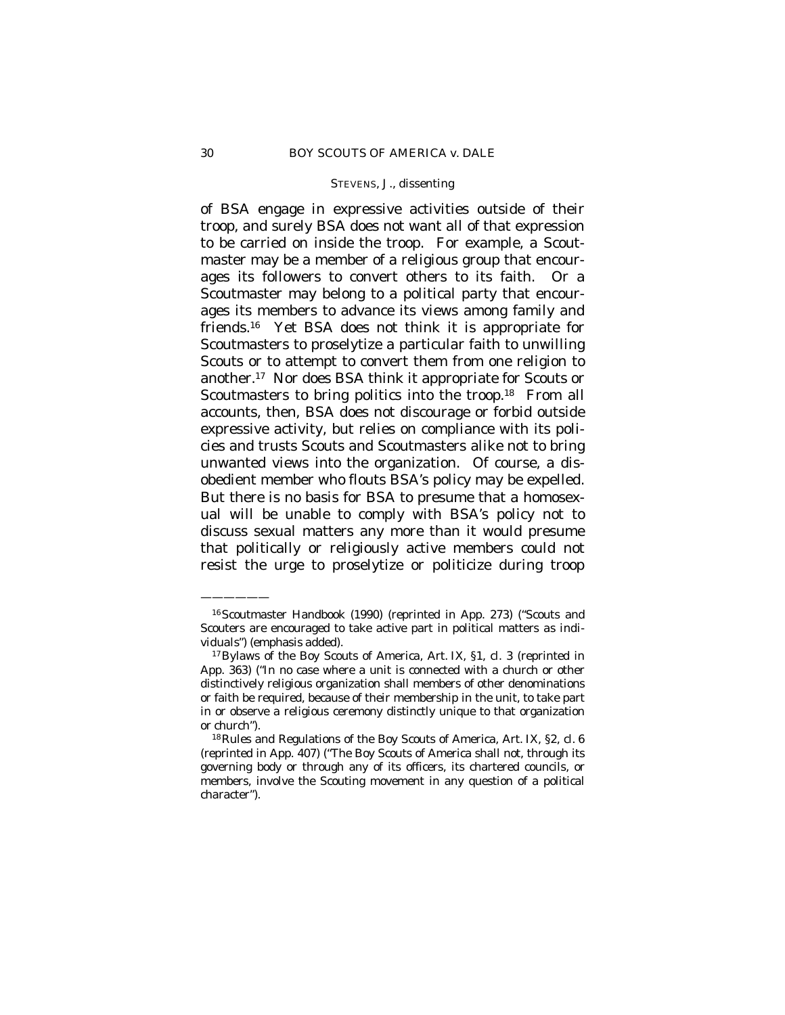of BSA engage in expressive activities outside of their troop, and surely BSA does not want all of that expression to be carried on inside the troop. For example, a Scoutmaster may be a member of a religious group that encourages its followers to convert others to its faith. Or a Scoutmaster may belong to a political party that encourages its members to advance its views among family and friends.16 Yet BSA does not think it is appropriate for Scoutmasters to proselytize a particular faith to unwilling Scouts or to attempt to convert them from one religion to another.17 Nor does BSA think it appropriate for Scouts or Scoutmasters to bring politics into the troop.<sup>18</sup> From all accounts, then, BSA does not discourage or forbid outside expressive activity, but relies on compliance with its policies and trusts Scouts and Scoutmasters alike not to bring unwanted views into the organization. Of course, a disobedient member who flouts BSA's policy may be expelled. But there is no basis for BSA to presume that a homosexual will be unable to comply with BSA's policy not to discuss sexual matters any more than it would presume that politically or religiously active members could not resist the urge to proselytize or politicize during troop

<sup>——————</sup>

<sup>16</sup>Scoutmaster Handbook (1990) (reprinted in App. 273) ("Scouts and Scouters are encouraged to take active part in political matters *as individuals*") (emphasis added).

<sup>17</sup>Bylaws of the Boy Scouts of America, Art. IX, §1, cl. 3 (reprinted in App. 363) ("In no case where a unit is connected with a church or other distinctively religious organization shall members of other denominations or faith be required, because of their membership in the unit, to take part in or observe a religious ceremony distinctly unique to that organization or church").

<sup>18</sup>Rules and Regulations of the Boy Scouts of America, Art. IX, §2, cl. 6 (reprinted in App. 407) ("The Boy Scouts of America shall not, through its governing body or through any of its officers, its chartered councils, or members, involve the Scouting movement in any question of a political character").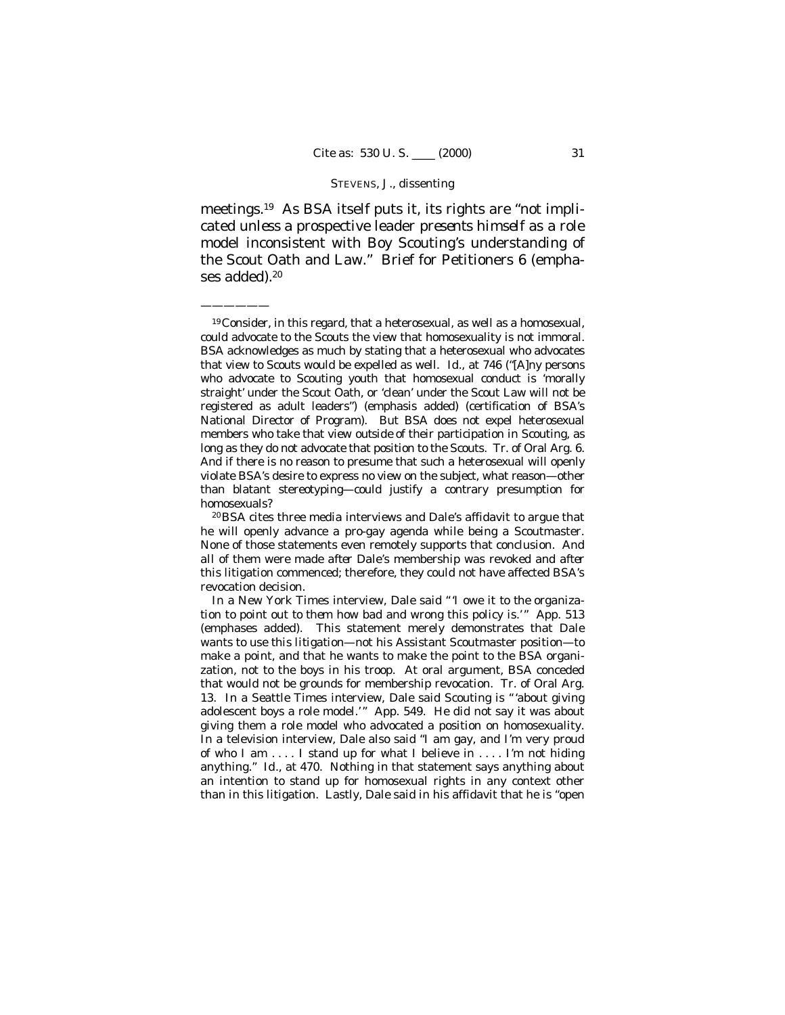meetings.19 As BSA itself puts it, its rights are "not implicated *unless* a prospective leader *presents himself* as a role model inconsistent with Boy Scouting's understanding of the Scout Oath and Law." Brief for Petitioners 6 (emphases added).<sup>20</sup>

### ——————

<sup>19</sup>Consider, in this regard, that a heterosexual, as well as a homosexual, could advocate to the Scouts the view that homosexuality is not immoral. BSA acknowledges as much by stating that a heterosexual who advocates that view to Scouts would be expelled as well. *Id.,* at 746 ("*[A]ny* persons who advocate to Scouting youth that homosexual conduct is 'morally straight' under the Scout Oath, or 'clean' under the Scout Law will not be registered as adult leaders") (emphasis added) (certification of BSA's National Director of Program). But BSA does not expel heterosexual members who take that view *outside* of their participation in Scouting, as long as they do not advocate that position to the Scouts. Tr. of Oral Arg. 6. And if there is no reason to presume that such a heterosexual will openly violate BSA's desire to express no view on the subject, what reason— other than blatant stereotyping— could justify a contrary presumption for homosexuals?

<sup>20</sup>BSA cites three media interviews and Dale's affidavit to argue that he will openly advance a pro-gay agenda while being a Scoutmaster. None of those statements even remotely supports that conclusion. And *all* of them were made *after* Dale's membership was revoked and *after* this litigation commenced; therefore, they could not have affected BSA's revocation decision.

In a New York Times interview, Dale said "'I owe it *to the organization* to point out *to them* how bad and wrong this policy is.'" App. 513 (emphases added). This statement merely demonstrates that Dale wants to use *this litigation*— not his Assistant Scoutmaster position— to make a point, and that he wants to make the point to the BSA organization, not to the boys in his troop. At oral argument, BSA conceded that would not be grounds for membership revocation. Tr. of Oral Arg. 13. In a Seattle Times interview, Dale said Scouting is "'about giving adolescent boys a role model.'" App. 549. He did not say it was about giving them a role model who advocated a position on homosexuality. In a television interview, Dale also said "I am gay, and I'm very proud of who I am . . . . I stand up for what I believe in . . . . I'm not hiding anything." *Id.,* at 470. Nothing in that statement says anything about an intention to stand up for homosexual rights in any context other than in this litigation. Lastly, Dale said in his affidavit that he is "open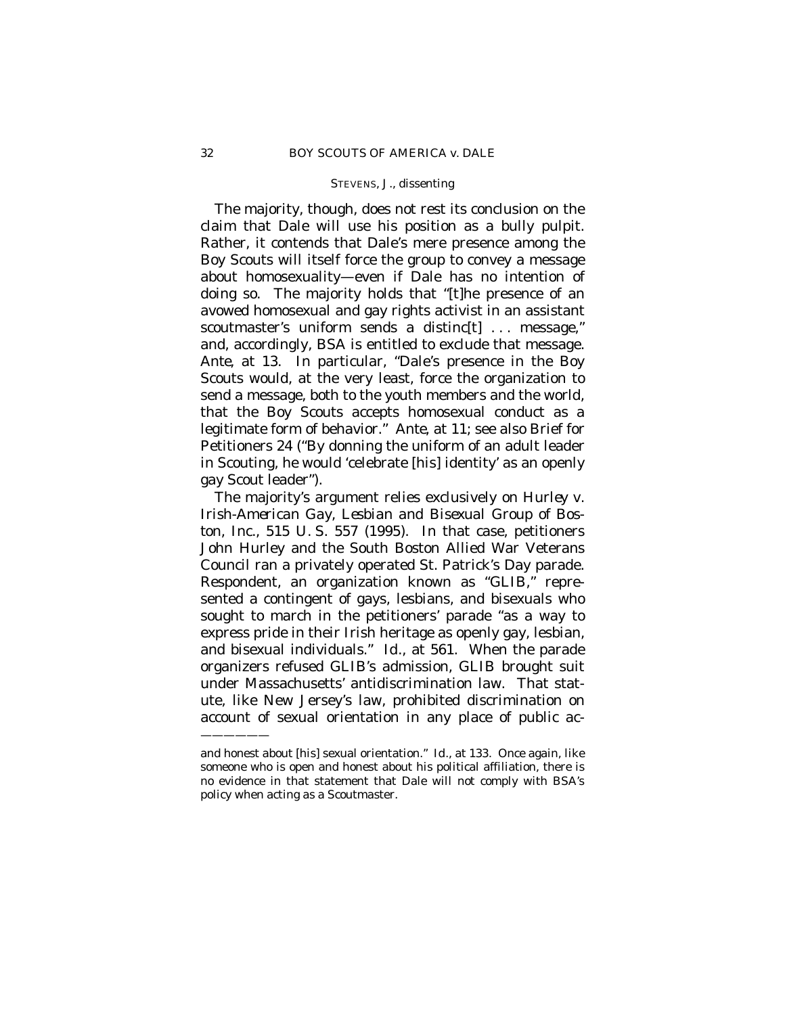The majority, though, does not rest its conclusion on the claim that Dale will use his position as a bully pulpit. Rather, it contends that Dale's mere presence among the Boy Scouts will itself force the group to convey a message about homosexuality— even if Dale has no intention of doing so. The majority holds that "[t]he presence of an avowed homosexual and gay rights activist in an assistant scoutmaster's uniform sends a distinc<sup>[t]</sup> ... message," and, accordingly, BSA is entitled to exclude that message. *Ante*, at 13. In particular, "Dale's presence in the Boy Scouts would, at the very least, force the organization to send a message, both to the youth members and the world, that the Boy Scouts accepts homosexual conduct as a legitimate form of behavior." *Ante*, at 11; see also Brief for Petitioners 24 ("By donning the uniform of an adult leader in Scouting, he would 'celebrate [his] identity' as an openly gay Scout leader").

The majority's argument relies exclusively on *Hurley* v. *Irish-American Gay, Lesbian and Bisexual Group of Boston, Inc.,* 515 U. S. 557 (1995). In that case, petitioners John Hurley and the South Boston Allied War Veterans Council ran a privately operated St. Patrick's Day parade. Respondent, an organization known as "GLIB," represented a contingent of gays, lesbians, and bisexuals who sought to march in the petitioners' parade "as a way to express pride in their Irish heritage as openly gay, lesbian, and bisexual individuals." *Id.*, at 561. When the parade organizers refused GLIB's admission, GLIB brought suit under Massachusetts' antidiscrimination law. That statute, like New Jersey's law, prohibited discrimination on account of sexual orientation in any place of public ac- ——————

and honest about [his] sexual orientation." *Id.,* at 133. Once again, like someone who is open and honest about his political affiliation, there is no evidence in that statement that Dale will not comply with BSA's policy when acting as a Scoutmaster.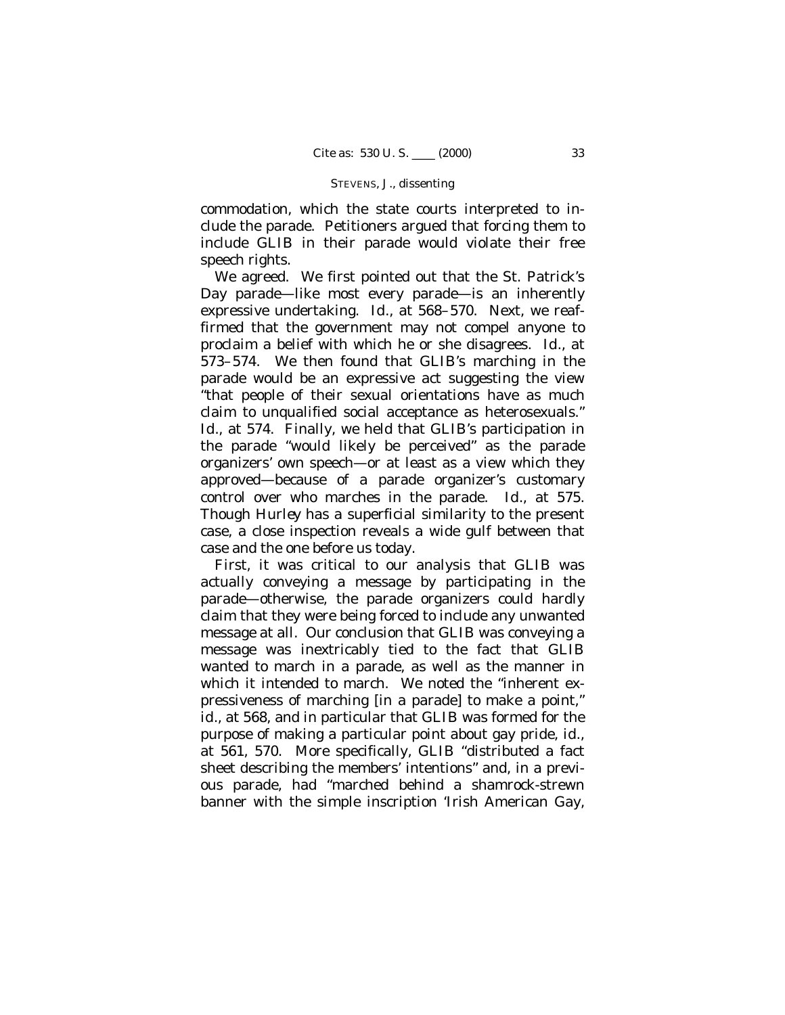commodation, which the state courts interpreted to include the parade. Petitioners argued that forcing them to include GLIB in their parade would violate their free speech rights.

We agreed. We first pointed out that the St. Patrick's Day parade— like most every parade— is an inherently expressive undertaking. *Id.*, at 568–570. Next, we reaffirmed that the government may not compel anyone to proclaim a belief with which he or she disagrees. *Id.*, at 573–574. We then found that GLIB's marching in the parade would be an expressive act suggesting the view "that people of their sexual orientations have as much claim to unqualified social acceptance as heterosexuals." *Id.*, at 574. Finally, we held that GLIB's participation in the parade "would likely be perceived" as the parade organizers' own speech— or at least as a view which they approved— because of a parade organizer's customary control over who marches in the parade. *Id.*, at 575. Though *Hurley* has a superficial similarity to the present case, a close inspection reveals a wide gulf between that case and the one before us today.

First, it was critical to our analysis that GLIB was actually conveying a message by participating in the parade— otherwise, the parade organizers could hardly claim that they were being forced to include any unwanted message at all. Our conclusion that GLIB was conveying a message was inextricably tied to the fact that GLIB wanted to march in a parade, as well as the manner in which it intended to march. We noted the "inherent expressiveness of marching [in a parade] to make a point," *id.*, at 568, and in particular that GLIB was formed for the purpose of making a particular point about gay pride, *id.*, at 561, 570. More specifically, GLIB "distributed a fact sheet describing the members' intentions" and, in a previous parade, had "marched behind a shamrock-strewn banner with the simple inscription 'Irish American Gay,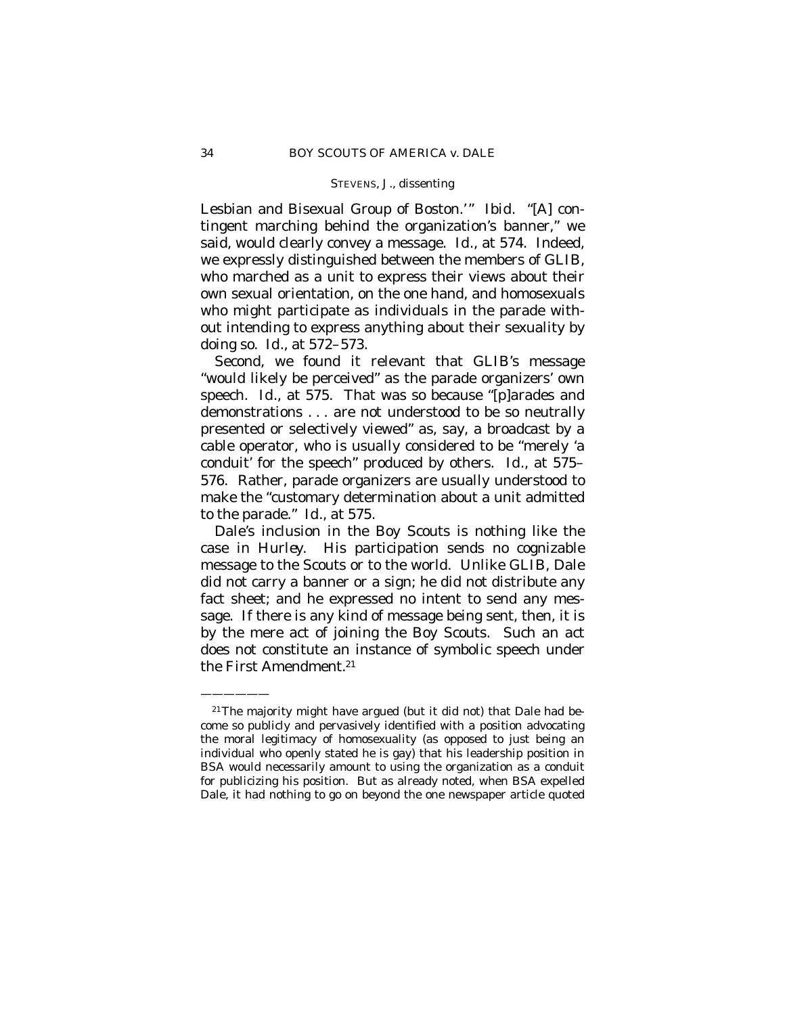Lesbian and Bisexual Group of Boston.'" *Ibid.* "[A] contingent marching behind the organization's banner," we said, would clearly convey a message. *Id.*, at 574. Indeed, we expressly distinguished between the members of GLIB, who marched as a unit to express their views about their own sexual orientation, on the one hand, and homosexuals who might participate as individuals in the parade without intending to express anything about their sexuality by doing so. *Id.*, at 572–573.

Second, we found it relevant that GLIB's message "would likely be perceived" as the parade organizers' own speech. *Id.*, at 575. That was so because "[p]arades and demonstrations . . . are not understood to be so neutrally presented or selectively viewed" as, say, a broadcast by a cable operator, who is usually considered to be "merely 'a conduit' for the speech" produced by others. *Id.*, at 575– 576. Rather, parade organizers are usually understood to make the "customary determination about a unit admitted to the parade." *Id.*, at 575.

Dale's inclusion in the Boy Scouts is nothing like the case in *Hurley*. His participation sends no cognizable message to the Scouts or to the world. Unlike GLIB, Dale did not carry a banner or a sign; he did not distribute any fact sheet; and he expressed no intent to send any message. If there is any kind of message being sent, then, it is by the mere act of joining the Boy Scouts. Such an act does not constitute an instance of symbolic speech under the First Amendment.<sup>21</sup>

<sup>&</sup>lt;sup>21</sup>The majority might have argued (but it did not) that Dale had become so publicly and pervasively identified with a position advocating the moral legitimacy of homosexuality (as opposed to just being an individual who openly stated he is gay) that his leadership position in BSA would necessarily amount to using the organization as a conduit for publicizing his position. But as already noted, when BSA expelled Dale, it had nothing to go on beyond the one newspaper article quoted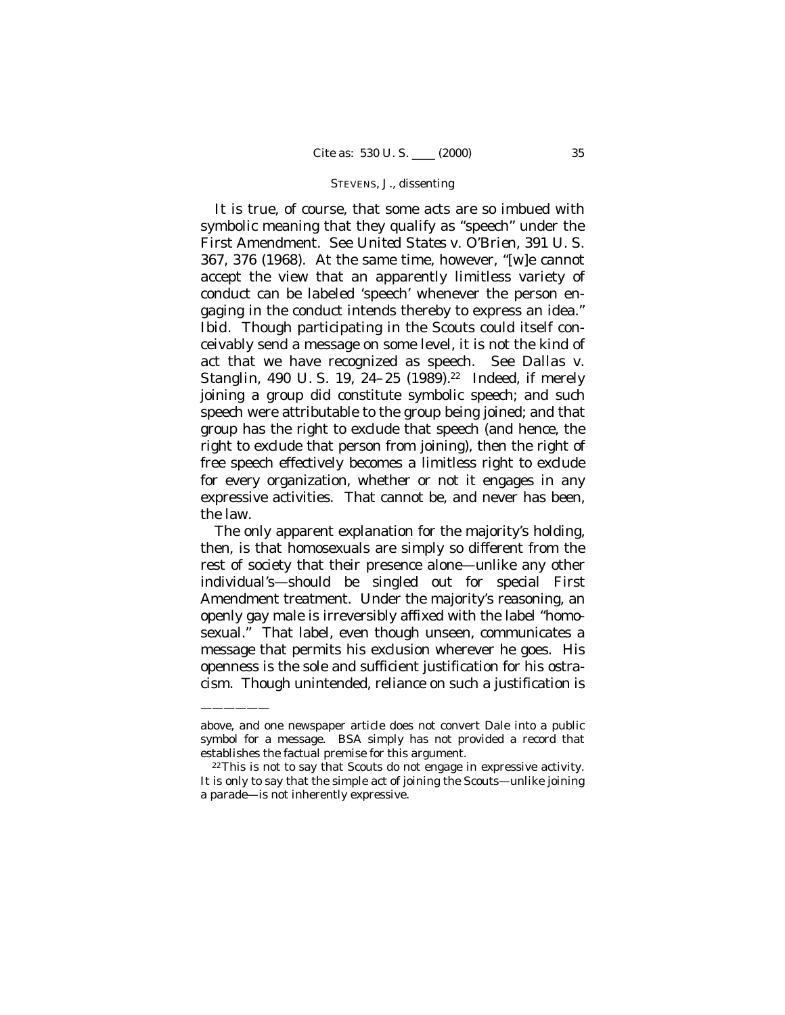It is true, of course, that some acts are so imbued with symbolic meaning that they qualify as "speech" under the First Amendment. See *United States* v. *O'Brien,* 391 U. S. 367, 376 (1968). At the same time, however, "[w]e cannot accept the view that an apparently limitless variety of conduct can be labeled 'speech' whenever the person engaging in the conduct intends thereby to express an idea." *Ibid.* Though participating in the Scouts could itself conceivably send a message on some level, it is not the kind of act that we have recognized as speech. See *Dallas* v. *Stanglin,* 490 U.S. 19, 24-25 (1989).<sup>22</sup> Indeed, if merely joining a group did constitute symbolic speech; and such speech were attributable to the group being joined; and that group has the right to exclude that speech (and hence, the right to exclude that person from joining), then the right of free speech effectively becomes a limitless right to exclude for every organization, whether or not it engages in *any* expressive activities. That cannot be, and never has been, the law.

The only apparent explanation for the majority's holding, then, is that homosexuals are simply so different from the rest of society that their presence alone— unlike any other individual's— should be singled out for special First Amendment treatment. Under the majority's reasoning, an openly gay male is irreversibly affixed with the label "homosexual." That label, even though unseen, communicates a message that permits his exclusion wherever he goes. His openness is the sole and sufficient justification for his ostracism. Though unintended, reliance on such a justification is

above, and one newspaper article does not convert Dale into a public symbol for a message. BSA simply has not provided a record that establishes the factual premise for this argument.

<sup>&</sup>lt;sup>22</sup>This is not to say that Scouts do not engage in expressive activity. It is only to say that the simple act of joining the Scouts— unlike joining a parade— is not inherently expressive.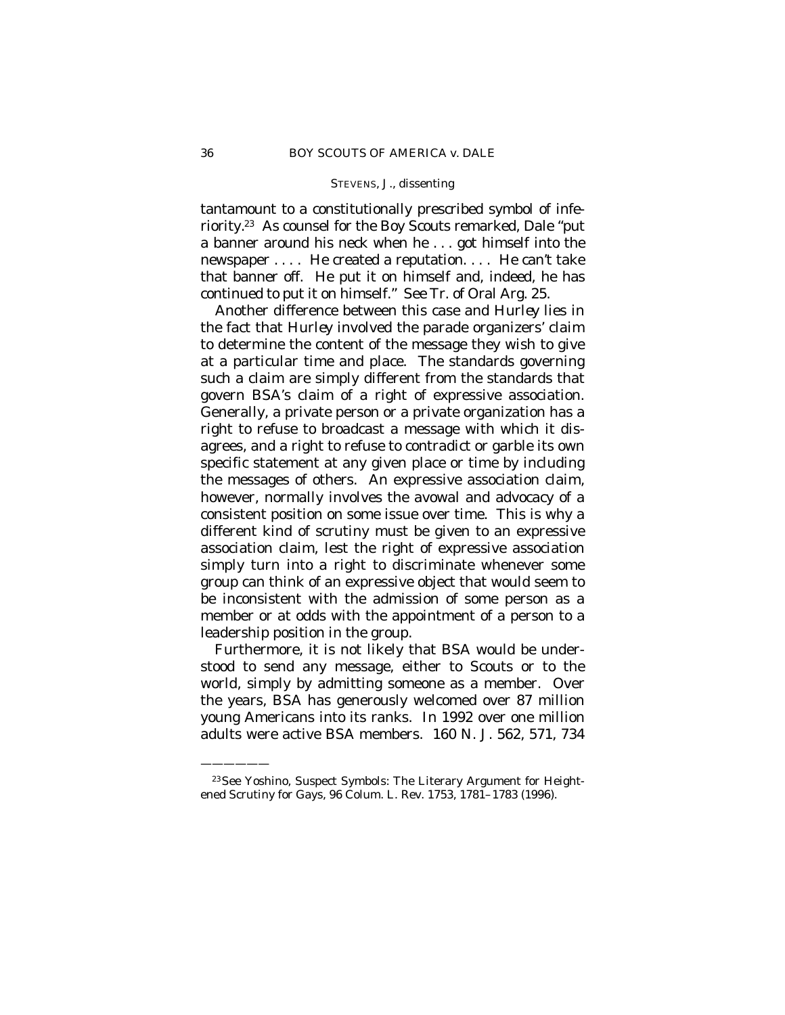tantamount to a constitutionally prescribed symbol of inferiority.23 As counsel for the Boy Scouts remarked, Dale "put a banner around his neck when he . . . got himself into the newspaper . . . . He created a reputation. . . . He can't take that banner off. He put it on himself and, indeed, he has continued to put it on himself." See Tr. of Oral Arg. 25.

Another difference between this case and *Hurley* lies in the fact that *Hurley* involved the parade organizers' claim to determine the content of the message they wish to give at a particular time and place. The standards governing such a claim are simply different from the standards that govern BSA's claim of a right of expressive association. Generally, a private person or a private organization has a right to refuse to broadcast a message with which it disagrees, and a right to refuse to contradict or garble its own specific statement at any given place or time by including the messages of others. An expressive association claim, however, normally involves the avowal and advocacy of a consistent position on some issue over time. This is why a different kind of scrutiny must be given to an expressive association claim, lest the right of expressive association simply turn into a right to discriminate whenever some group can think of an expressive object that would seem to be inconsistent with the admission of some person as a member or at odds with the appointment of a person to a leadership position in the group.

Furthermore, it is not likely that BSA would be understood to send any message, either to Scouts or to the world, simply by admitting someone as a member. Over the years, BSA has generously welcomed over 87 million young Americans into its ranks. In 1992 over one million adults were active BSA members. 160 N. J. 562, 571, 734

<sup>23</sup>See Yoshino, Suspect Symbols: The Literary Argument for Heightened Scrutiny for Gays, 96 Colum. L. Rev. 1753, 1781–1783 (1996).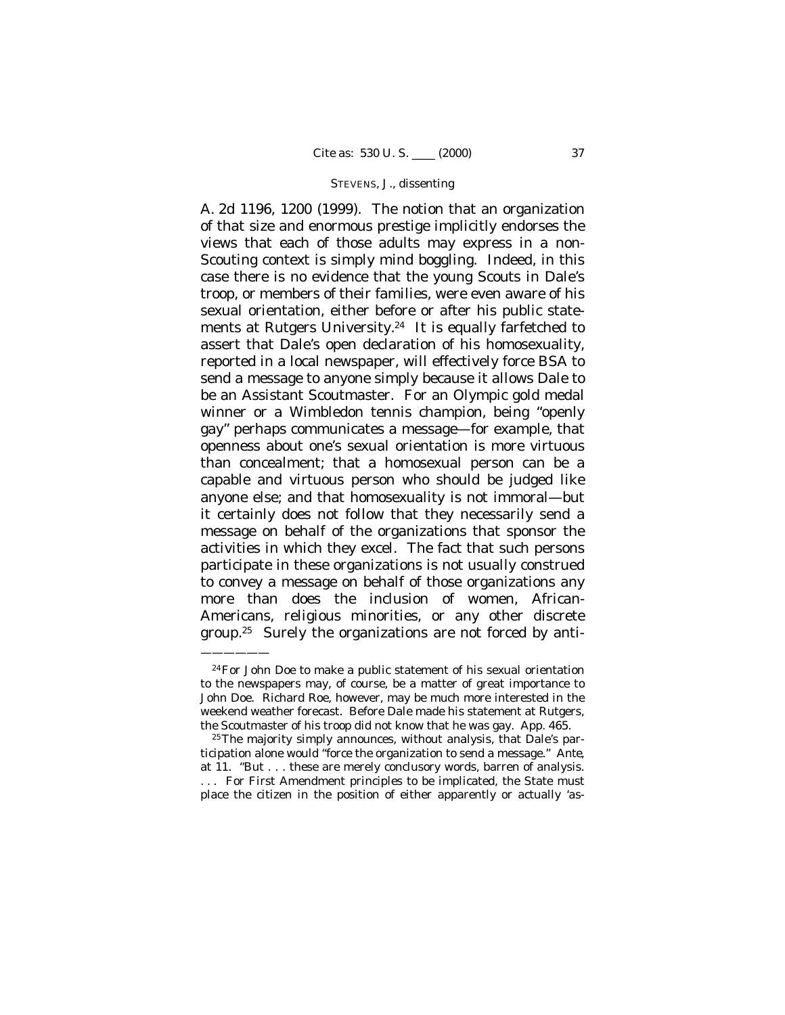A. 2d 1196, 1200 (1999). The notion that an organization of that size and enormous prestige implicitly endorses the views that each of those adults may express in a non-Scouting context is simply mind boggling. Indeed, in this case there is no evidence that the young Scouts in Dale's troop, or members of their families, were even aware of his sexual orientation, either before or after his public statements at Rutgers University.<sup>24</sup> It is equally farfetched to assert that Dale's open declaration of his homosexuality, reported in a local newspaper, will effectively force BSA to send a message to anyone simply because it allows Dale to be an Assistant Scoutmaster. For an Olympic gold medal winner or a Wimbledon tennis champion, being "openly gay" perhaps communicates a message— for example, that openness about one's sexual orientation is more virtuous than concealment; that a homosexual person can be a capable and virtuous person who should be judged like anyone else; and that homosexuality is not immoral— but it certainly does not follow that they necessarily send a message on behalf of the organizations that sponsor the activities in which they excel. The fact that such persons participate in these organizations is not usually construed to convey a message on behalf of those organizations any more than does the inclusion of women, African-Americans, religious minorities, or any other discrete group.25 Surely the organizations are not forced by anti-

——————

 $25$ The majority simply announces, without analysis, that Dale's participation alone would "force the organization to send a message." *Ante*, at 11. "But . . . these are merely conclusory words, barren of analysis. . . . For First Amendment principles to be implicated, the State must place the citizen in the position of either apparently or actually 'as-

 $24$  For John Doe to make a public statement of his sexual orientation to the newspapers may, of course, be a matter of great importance to John Doe. Richard Roe, however, may be much more interested in the weekend weather forecast. Before Dale made his statement at Rutgers, the Scoutmaster of his troop did not know that he was gay. App. 465.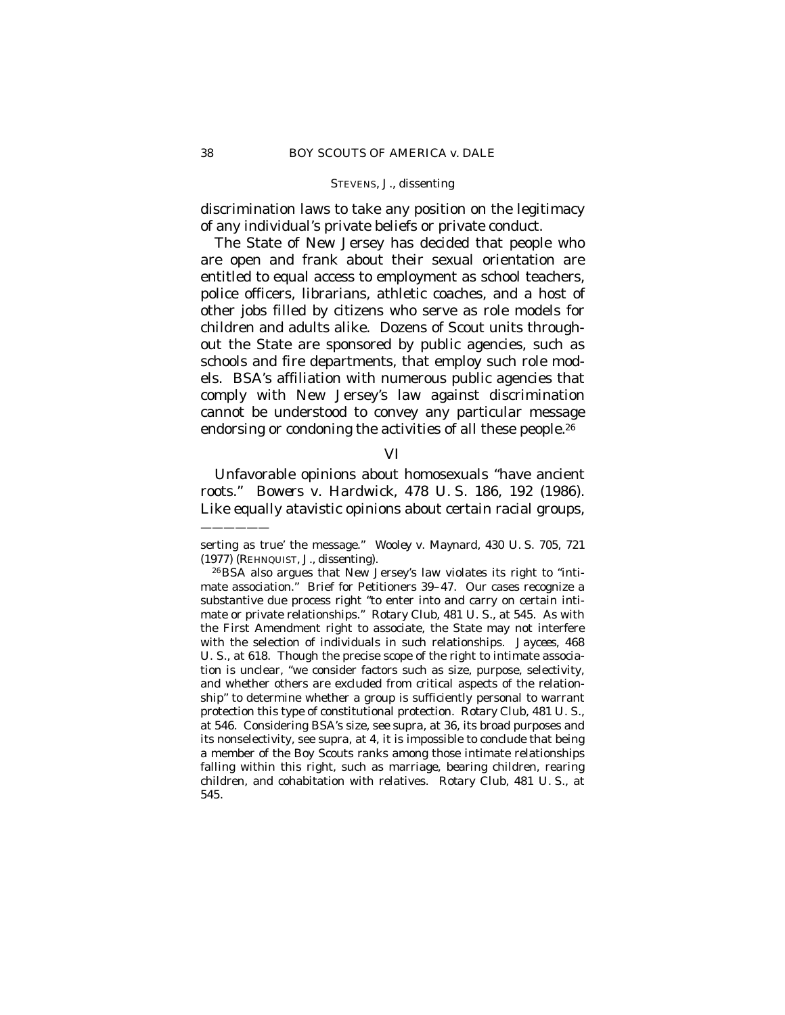discrimination laws to take any position on the legitimacy of any individual's private beliefs or private conduct.

The State of New Jersey has decided that people who are open and frank about their sexual orientation are entitled to equal access to employment as school teachers, police officers, librarians, athletic coaches, and a host of other jobs filled by citizens who serve as role models for children and adults alike. Dozens of Scout units throughout the State are sponsored by public agencies, such as schools and fire departments, that employ such role models. BSA's affiliation with numerous public agencies that comply with New Jersey's law against discrimination cannot be understood to convey any particular message endorsing or condoning the activities of all these people.<sup>26</sup>

## VI

Unfavorable opinions about homosexuals "have ancient roots." *Bowers* v. *Hardwick,* 478 U. S. 186, 192 (1986). Like equally atavistic opinions about certain racial groups,

serting as true' the message." *Wooley* v. *Maynard,* 430 U. S. 705, 721 (1977) (REHNQUIST, J., dissenting).

<sup>26</sup>BSA also argues that New Jersey's law violates its right to "intimate association." Brief for Petitioners 39–47. Our cases recognize a substantive due process right "to enter into and carry on certain intimate or private relationships." *Rotary Club*, 481 U. S., at 545. As with the First Amendment right to associate, the State may not interfere with the selection of individuals in such relationships. *Jaycees*, 468 U. S., at 618. Though the precise scope of the right to intimate association is unclear, "we consider factors such as size, purpose, selectivity, and whether others are excluded from critical aspects of the relationship" to determine whether a group is sufficiently personal to warrant protection this type of constitutional protection. *Rotary Club*, 481 U. S., at 546. Considering BSA's size, see *supra*, at 36, its broad purposes and its nonselectivity, see *supra*, at 4, it is impossible to conclude that being a member of the Boy Scouts ranks among those intimate relationships falling within this right, such as marriage, bearing children, rearing children, and cohabitation with relatives. *Rotary Club*, 481 U. S., at 545.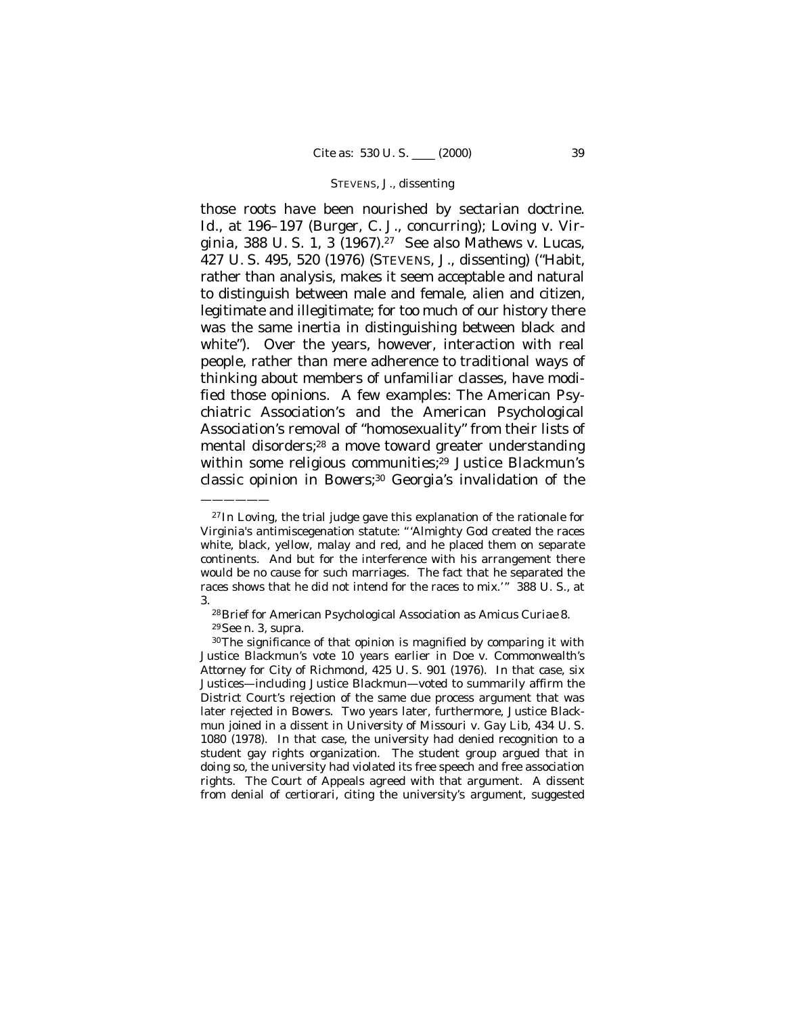those roots have been nourished by sectarian doctrine. *Id.,* at 196–197 (Burger, C. J., concurring); *Loving* v. *Virginia,* 388 U. S. 1, 3 (1967).27 See also *Mathews* v. *Lucas,* 427 U. S. 495, 520 (1976) (STEVENS, J., dissenting) ("Habit, rather than analysis, makes it seem acceptable and natural to distinguish between male and female, alien and citizen, legitimate and illegitimate; for too much of our history there was the same inertia in distinguishing between black and white"). Over the years, however, interaction with real people, rather than mere adherence to traditional ways of thinking about members of unfamiliar classes, have modified those opinions. A few examples: The American Psychiatric Association's and the American Psychological Association's removal of "homosexuality" from their lists of mental disorders;28 a move toward greater understanding within some religious communities;<sup>29</sup> Justice Blackmun's classic opinion in *Bowers;*<sup>30</sup> Georgia's invalidation of the ——————

<sup>27</sup> In *Loving*, the trial judge gave this explanation of the rationale for Virginia's antimiscegenation statute: "'Almighty God created the races white, black, yellow, malay and red, and he placed them on separate continents. And but for the interference with his arrangement there would be no cause for such marriages. The fact that he separated the races shows that he did not intend for the races to mix.'" 388 U. S., at 3.

<sup>28</sup>Brief for American Psychological Association as *Amicus Curiae* 8. <sup>29</sup>See n. 3, *supra*.

<sup>&</sup>lt;sup>30</sup>The significance of that opinion is magnified by comparing it with Justice Blackmun's vote 10 years earlier in *Doe* v. *Commonwealth's Attorney for City of Richmond*, 425 U. S. 901 (1976). In that case, six Justices— including Justice Blackmun— voted to summarily affirm the District Court's rejection of the same due process argument that was later rejected in *Bowers*. Two years later, furthermore, Justice Blackmun joined in a dissent in *University of Missouri* v. *Gay Lib*, 434 U. S. 1080 (1978). In that case, the university had denied recognition to a student gay rights organization. The student group argued that in doing so, the university had violated its free speech and free association rights. The Court of Appeals agreed with that argument. A dissent from denial of certiorari, citing the university's argument, suggested